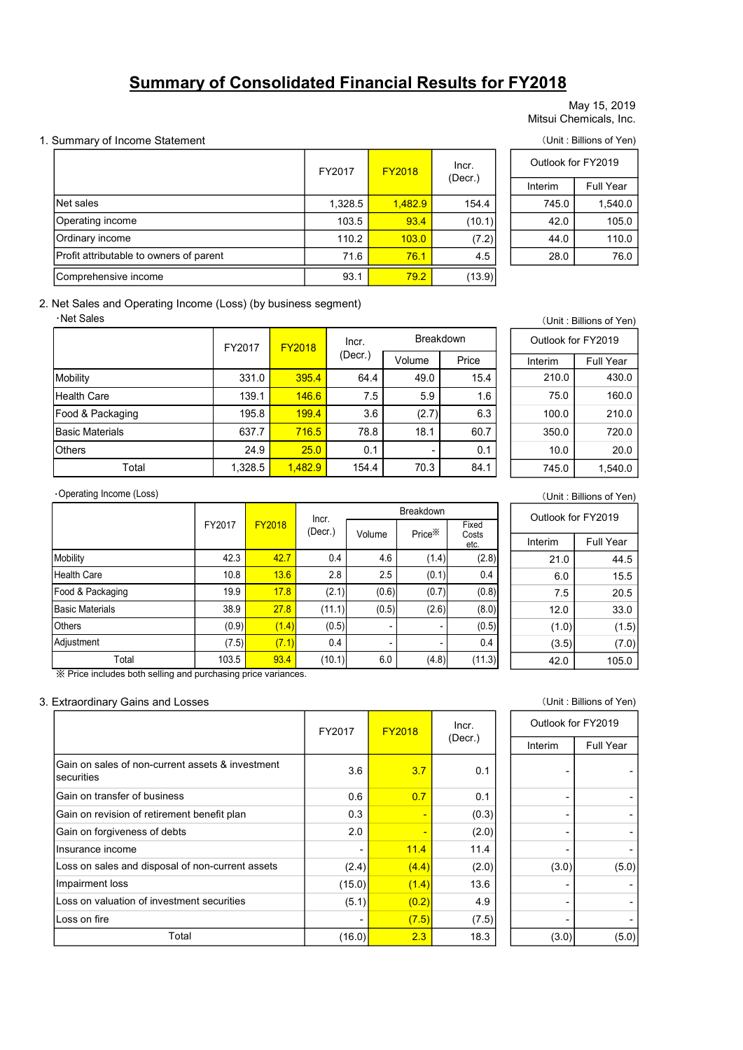# Summary of Consolidated Financial Results for FY2018

# May 15, 2019 Mitsui Chemicals, Inc.

# 1. Summary of Income Statement (Unit: Billions of Yen)

|                                                             |        |               |               |               |           |                         | May 15, 2019<br>Mitsui Chemicals, Inc. |  |
|-------------------------------------------------------------|--------|---------------|---------------|---------------|-----------|-------------------------|----------------------------------------|--|
| Summary of Income Statement                                 |        |               |               |               |           | (Unit: Billions of Yen) |                                        |  |
|                                                             |        |               | FY2017        | <b>FY2018</b> | Incr.     | Outlook for FY2019      |                                        |  |
|                                                             |        |               |               |               | (Decr.)   | Interim                 | Full Year                              |  |
| Net sales                                                   |        |               | 1,328.5       | 1,482.9       | 154.4     | 745.0                   | 1,540.0                                |  |
| Operating income                                            |        |               | 103.5         | 93.4          | (10.1)    | 42.0                    | 105.0                                  |  |
| Ordinary income                                             |        |               | 110.2         | 103.0         | (7.2)     | 44.0                    | 110.0                                  |  |
| Profit attributable to owners of parent                     |        |               | 71.6          | 76.1          | 4.5       | 28.0                    | 76.0                                   |  |
| Comprehensive income                                        |        |               | 93.1          | 79.2          | (13.9)    |                         |                                        |  |
| Net Sales and Operating Income (Loss) (by business segment) |        |               |               |               |           |                         |                                        |  |
| ·Net Sales                                                  |        |               |               |               |           |                         | (Unit: Billions of Yen)                |  |
|                                                             | FY2017 | <b>FY2018</b> | Incr.         |               | Breakdown | Outlook for FY2019      |                                        |  |
|                                                             |        |               | $($ Decr. $)$ | Volume        | Price     | Interim                 | Full Year                              |  |
| <b>Mobility</b>                                             | 331.0  | 395.4         | 64.4          | 49.0          | 15.4      | 210.0                   | 430.0                                  |  |
| <b>Health Care</b>                                          | 139.1  | 146.6         | 7.5           | 5.9           | 1.6       | 75.0                    | 160.0                                  |  |
| Food & Packaging                                            | 195.8  | 199.4         | 3.6           | (2.7)         | 6.3       | 100.0                   | 210.0                                  |  |
| <b>Basic Materials</b>                                      | 637.7  | 716.5         | 78.8          | 18.1          | 60.7      | 350.0                   | 720.0                                  |  |
| Others                                                      | 24.9   | 25.0          | 0.1           |               | 0.1       | 10.0                    | 20.0                                   |  |

# Interim Full Year 1,328.5 1,482.9 154.4 745.0 1,540.0 Outlook for FY2019

# 2. Net Sales and Operating Income (Loss) (by business segment)

#### ・Net Sales

| <b>Summary of Consolidated Financial Results for FY2018</b>               |        |         |        |               |         |                    |               |  |                    |                                        |
|---------------------------------------------------------------------------|--------|---------|--------|---------------|---------|--------------------|---------------|--|--------------------|----------------------------------------|
|                                                                           |        |         |        |               |         |                    |               |  |                    | May 15, 2019<br>Mitsui Chemicals, Inc. |
| Summary of Income Statement                                               |        |         |        |               |         |                    |               |  |                    | (Unit: Billions of Yen)                |
|                                                                           |        |         |        | FY2017        |         | <b>FY2018</b>      | Incr.         |  | Outlook for FY2019 |                                        |
|                                                                           |        |         |        |               |         |                    | (Decr.)       |  | Interim            | Full Year                              |
| Net sales                                                                 |        |         |        |               | 1,328.5 | 1,482.9            | 154.4         |  | 745.0              | 1,540.0                                |
| Operating income                                                          |        |         |        |               | 103.5   | 93.4               | (10.1)        |  | 42.0               | 105.0                                  |
| Ordinary income                                                           |        |         |        |               | 110.2   | 103.0              | (7.2)         |  | 44.0               | 110.0                                  |
| Profit attributable to owners of parent                                   |        |         |        |               | 71.6    | 76.1               | 4.5           |  | 28.0               | 76.0                                   |
| Comprehensive income                                                      |        |         |        |               | 93.1    | 79.2               | (13.9)        |  |                    |                                        |
| Net Sales and Operating Income (Loss) (by business segment)<br>·Net Sales |        |         |        |               |         |                    |               |  |                    | (Unit: Billions of Yen)                |
|                                                                           |        | FY2017  |        | <b>FY2018</b> | Incr.   |                    | Breakdown     |  | Outlook for FY2019 |                                        |
|                                                                           |        |         |        |               | (Decr.) | Volume             | Price         |  | Interim            | Full Year                              |
| Mobility                                                                  |        | 331.0   |        | 395.4         | 64.4    | 49.0               | 15.4          |  | 210.0              | 430.0                                  |
| <b>Health Care</b>                                                        |        | 139.1   |        | 146.6         | 7.5     | 5.9                | 1.6           |  | 75.0               | 160.0                                  |
| Food & Packaging                                                          |        | 195.8   |        | 199.4         | 3.6     | (2.7)              | 6.3           |  | 100.0              | 210.0                                  |
| <b>Basic Materials</b>                                                    |        | 637.7   |        | 716.5         | 78.8    | 18.1               | 60.7          |  | 350.0              | 720.0                                  |
| Others                                                                    |        | 24.9    |        | 25.0          | 0.1     |                    | 0.1           |  | 10.0               | 20.0                                   |
| Total                                                                     |        | 1,328.5 |        | 1,482.9       | 154.4   | 70.3               | 84.1          |  | 745.0              | 1,540.0                                |
| ·Operating Income (Loss)                                                  |        |         |        |               |         |                    |               |  |                    | (Unit: Billions of Yen)                |
|                                                                           | FY2017 |         | FY2018 | Incr.         |         | <b>Breakdown</b>   | Fixed         |  | Outlook for FY2019 |                                        |
|                                                                           |        |         |        | (Decr.)       | Volume  | Price <sup>*</sup> | Costs<br>etc. |  | Interim            | Full Year                              |
| Mobility                                                                  |        | 42.3    | 42.7   | 0.4           | 4.6     | (1.4)              | (2.8)         |  | 21.0               | 44.5                                   |
| <b>Health Care</b>                                                        |        | 10.8    | 13.6   | 2.8           | 2.5     | (0.1)              | 0.4           |  | 6.0                | 15.5                                   |
| Food & Packaging                                                          |        | 19.9    | 17.8   | (2.1)         | (0.6)   | (0.7)              | (0.8)         |  | 7.5                | 20.5                                   |
| <b>Basic Materials</b>                                                    |        | 38.9    | 27.8   | (11.1)        | (0.5)   | (2.6)              | (8.0)         |  | 12.0               | 33.0                                   |
| Others                                                                    |        | (0.9)   | (1.4)  | (0.5)         |         |                    | (0.5)         |  | (1.0)              | (1.5)                                  |
|                                                                           |        |         |        |               |         |                    |               |  |                    |                                        |

|         |           | ial Results for FY2018 |                                        |
|---------|-----------|------------------------|----------------------------------------|
|         |           |                        | May 15, 2019<br>Mitsui Chemicals, Inc. |
|         |           |                        | (Unit: Billions of Yen)                |
| 2018    | Incr.     | Outlook for FY2019     |                                        |
|         | (Decr.)   | Interim                | Full Year                              |
| 1,482.9 | 154.4     | 745.0                  | 1,540.0                                |
| 93.4    | (10.1)    | 42.0                   | 105.0                                  |
| 103.0   | (7.2)     | 44.0                   | 110.0                                  |
| 76.1    | 4.5       | 28.0                   | 76.0                                   |
| 79.2    | (13.9)    |                        |                                        |
|         |           |                        |                                        |
|         |           |                        | (Unit: Billions of Yen)                |
|         | Breakdown | Outlook for FY2019     |                                        |
| Volume  | Price     | Interim                | Full Year                              |
| 49.0    | 15.4      | 210.0                  | 430.0                                  |
| 5.9     | 1.6       | 75.0                   | 160.0                                  |
| (2.7)   | 6.3       | 100.0                  | 210.0                                  |
|         | 60.7      | 350.0                  | 720.0                                  |
| 18.1    |           |                        |                                        |
|         | 0.1       | 10.0                   | 20.0                                   |

#### ・Operating Income (Loss)

| Profit attributable to owners of parent                       |        |               |               | 71.6             | 76.1    | 4.5                |                 | 28.0  | 76.0               |                         |  |
|---------------------------------------------------------------|--------|---------------|---------------|------------------|---------|--------------------|-----------------|-------|--------------------|-------------------------|--|
| Comprehensive income                                          |        |               |               |                  | 93.1    | 79.2               | (13.9)          |       |                    |                         |  |
| Net Sales and Operating Income (Loss) (by business segment)   |        |               |               |                  |         |                    |                 |       |                    |                         |  |
| ·Net Sales                                                    |        |               |               |                  |         |                    |                 |       |                    | (Unit: Billions of Yen) |  |
|                                                               | FY2017 |               | <b>FY2018</b> |                  | Incr.   | Breakdown          |                 |       | Outlook for FY2019 |                         |  |
|                                                               |        |               |               |                  | (Decr.) | Volume             | Price           |       | Interim            | Full Year               |  |
| Mobility                                                      |        | 331.0         | 395.4         |                  | 64.4    | 49.0               | 15.4            |       | 210.0              | 430.0                   |  |
| <b>Health Care</b>                                            |        | 139.1         | 146.6         |                  | 7.5     | 5.9                | 1.6             |       | 75.0               | 160.0                   |  |
| Food & Packaging                                              |        | 195.8         | 199.4         |                  | 3.6     | (2.7)              | 6.3             |       | 100.0              | 210.0                   |  |
| <b>Basic Materials</b>                                        |        | 637.7         | 716.5         |                  | 78.8    | 18.1               | 60.7            |       | 350.0              | 720.0                   |  |
| Others                                                        |        | 24.9          | 25.0          |                  | 0.1     |                    | 0.1             |       | 10.0               | 20.0                    |  |
| Total                                                         |        | 1,328.5       | 1,482.9       |                  | 154.4   | 70.3               | 84.1            |       | 745.0              | 1,540.0                 |  |
| Operating Income (Loss)                                       |        |               |               |                  |         |                    |                 |       |                    | (Unit: Billions of Yen) |  |
|                                                               |        |               |               | Breakdown        |         |                    |                 |       |                    | Outlook for FY2019      |  |
|                                                               | FY2017 | <b>FY2018</b> |               | Incr.<br>(Decr.) | Volume  | Price <sup>*</sup> | Fixed<br>Costs  |       |                    |                         |  |
|                                                               |        |               |               |                  |         |                    | etc.            |       | Interim            | Full Year               |  |
| Mobility                                                      | 42.3   |               | 42.7          | 0.4              | 4.6     | (1.4)              |                 | (2.8) | 21.0               | 44.5                    |  |
| <b>Health Care</b>                                            | 10.8   |               | 13.6          | 2.8              | 2.5     | (0.1)              |                 | 0.4   | 6.0                | 15.5                    |  |
| Food & Packaging                                              | 19.9   |               | 17.8          | (2.1)            | (0.6)   | (0.7)              | (0.8)           |       | 7.5                | 20.5                    |  |
| <b>Basic Materials</b>                                        | 38.9   |               | 27.8          | (11.1)           | (0.5)   | (2.6)              |                 | (8.0) | 12.0               | 33.0                    |  |
| Others                                                        | (0.9)  |               | (1.4)         | (0.5)            |         |                    |                 | (0.5) | (1.0)              | (1.5)                   |  |
| Adjustment                                                    | (7.5)  |               | (7.1)         | 0.4              |         |                    |                 | 0.4   | (3.5)              | (7.0)                   |  |
| Total                                                         | 103.5  |               | 93.4          | (10.1)           | 6.0     |                    | (4.8)<br>(11.3) |       | 42.0               | 105.0                   |  |
| ※ Price includes both selling and purchasing price variances. |        |               |               |                  |         |                    |                 |       |                    |                         |  |
| <b>Extraordinary Gains and Losses</b>                         |        |               |               |                  |         |                    |                 |       |                    | (Unit: Billions of Yen) |  |
|                                                               |        |               |               |                  |         |                    | Incr.           |       | Outlook for FY2019 |                         |  |
|                                                               |        |               |               | FY2017           |         | <b>FY2018</b>      | $($ Decr $)$    |       |                    |                         |  |

# (Unit : Billions of Yen)

| <b>Breakdown</b>   |                | Outlook for FY2019 |           |
|--------------------|----------------|--------------------|-----------|
| Price <sup>*</sup> | Fixed<br>Costs |                    |           |
|                    | etc.           | Interim            | Full Year |
| (1.4)              | (2.8)          | 21.0               | 44.5      |
| (0.1)              | 0.4            | 6.0                | 15.5      |
| (0.7)              | (0.8)          | 7.5                | 20.5      |
| (2.6)              | (8.0)          | 12.0               | 33.0      |
| -                  | (0.5)          | (1.0)              | (1.5)     |
| -                  | 0.4            | (3.5)              | (7.0)     |
| (4.8)              | (11.3)         | 42.0               | 105.0     |

# 3. Extraordinary Gains and Losses (Unit : Billions of Yen)

|                                                                 | FY2017 | <b>FY2018</b> | Incr.   |         | Outlook for FY2019 |
|-----------------------------------------------------------------|--------|---------------|---------|---------|--------------------|
|                                                                 |        |               | (Decr.) | Interim | Full Year          |
| Gain on sales of non-current assets & investment<br>Isecurities | 3.6    | 3.7           | 0.1     |         |                    |
| Gain on transfer of business                                    | 0.6    | 0.7           | 0.1     |         |                    |
| Gain on revision of retirement benefit plan                     | 0.3    |               | (0.3)   |         |                    |
| Gain on forgiveness of debts                                    | 2.0    |               | (2.0)   |         |                    |
| Insurance income                                                |        | 11.4          | 11.4    |         |                    |
| Loss on sales and disposal of non-current assets                | (2.4)  | (4.4)         | (2.0)   | (3.0)   | (5.0)              |
| Impairment loss                                                 | (15.0) | (1.4)         | 13.6    |         |                    |
| Loss on valuation of investment securities                      | (5.1)  | (0.2)         | 4.9     |         |                    |
| Loss on fire                                                    |        | (7.5)         | (7.5)   |         |                    |
| Total                                                           | (16.0) | 2.3           | 18.3    | (3.0)   | (5.0)              |

| Outlook for FY2019 |                  |
|--------------------|------------------|
| Interim            | <b>Full Year</b> |
|                    |                  |
|                    |                  |
|                    |                  |
|                    |                  |
|                    |                  |
| (3.0)              | (5.0)            |
|                    |                  |
|                    |                  |
|                    |                  |
| (3.0)              | (5.0)            |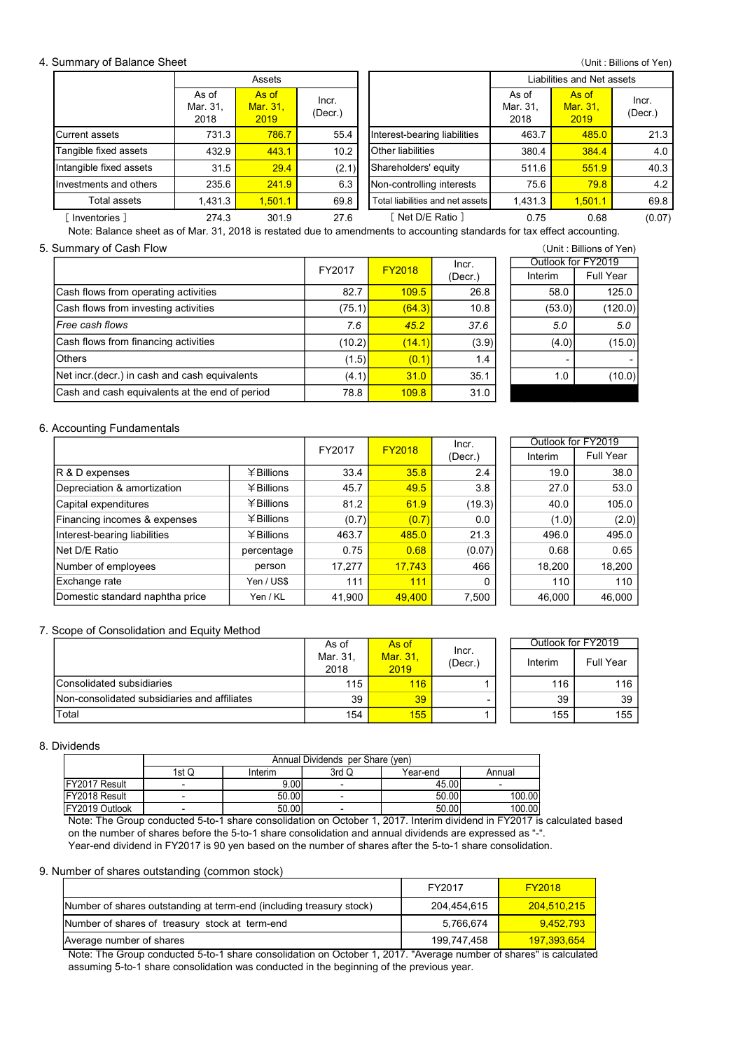# 4. Summary of Balance Sheet

| Summary of Balance Sheet                                                                                                 |                  |                           |                  |                                  |                  |                           |                                 | (Unit: Billions of Yen)                      |
|--------------------------------------------------------------------------------------------------------------------------|------------------|---------------------------|------------------|----------------------------------|------------------|---------------------------|---------------------------------|----------------------------------------------|
|                                                                                                                          |                  | Assets                    |                  | Liabilities and Net assets       |                  |                           |                                 |                                              |
|                                                                                                                          | As of            |                           |                  |                                  |                  |                           |                                 |                                              |
|                                                                                                                          | Mar. 31,<br>2018 | As of<br>Mar. 31,<br>2019 | Incr.<br>(Decr.) |                                  |                  | As of<br>Mar. 31,<br>2018 | As of<br>Mar. 31,<br>2019       | Incr.<br>(Decr.)                             |
| <b>Current assets</b>                                                                                                    | 731.3            | 786.7                     | 55.4             | Interest-bearing liabilities     |                  | 463.7                     | 485.0                           |                                              |
| Tangible fixed assets                                                                                                    | 432.9            | 443.1                     | 10.2             | Other liabilities                |                  | 380.4                     | 384.4                           |                                              |
| Intangible fixed assets                                                                                                  | 31.5             | 29.4                      | (2.1)            | Shareholders' equity             |                  | 511.6                     | 551.9                           |                                              |
| Investments and others                                                                                                   | 235.6            | 241.9                     | 6.3              | Non-controlling interests        |                  | 75.6                      | 79.8                            |                                              |
| Total assets                                                                                                             | 1,431.3          | 1,501.1                   | 69.8             | Total liabilities and net assets |                  | 1,431.3                   | 1,501.1                         |                                              |
| [ Inventories ]                                                                                                          | 274.3            | 301.9                     | 27.6             | [ Net D/E Ratio ]                |                  | 0.75                      | 0.68                            |                                              |
| Note: Balance sheet as of Mar. 31, 2018 is restated due to amendments to accounting standards for tax effect accounting. |                  |                           |                  |                                  |                  |                           |                                 | 21.3<br>4.0<br>40.3<br>4.2<br>69.8<br>(0.07) |
|                                                                                                                          |                  |                           |                  |                                  |                  |                           | (Unit: Billions of Yen)         |                                              |
| Summary of Cash Flow                                                                                                     |                  |                           | FY2017           | <b>FY2018</b>                    | Incr.<br>(Decr.) | Interim                   | Outlook for FY2019<br>Full Year |                                              |

# 5. Summary of Cash Flow (Unit : Billions of Yen)

|                                                |        |               | Incr.   |         | Outlook for FY2019 |
|------------------------------------------------|--------|---------------|---------|---------|--------------------|
|                                                | FY2017 | <b>FY2018</b> | (Decr.) | Interim | Full Year          |
| Cash flows from operating activities           | 82.7   | 109.5         | 26.8    | 58.0    | 125.0              |
| Cash flows from investing activities           | (75.1) | (64.3)        | 10.8    | (53.0)  | (120.0)            |
| l <i>Free cash flows</i>                       | 7.6    | 45.2          | 37.6    | 5.0     | 5.0                |
| Cash flows from financing activities           | (10.2) | (14.1)        | (3.9)   | (4.0)   | (15.0)             |
| <b>O</b> thers                                 | (1.5)  | (0.1)         | 1.4     |         |                    |
| Net incr. (decr.) in cash and cash equivalents | (4.1)  | 31.0          | 35.1    | 1.0     | (10.0)             |
| Cash and cash equivalents at the end of period | 78.8   | 109.8         | 31.0    |         |                    |

# Interim | Full Year  $(53.0)$   $(120.0)$ Outlook for FY2019

### 6. Accounting Fundamentals

|                                 |              |        |               | Incr.   |         | Outlook for FY2019 |
|---------------------------------|--------------|--------|---------------|---------|---------|--------------------|
|                                 |              | FY2017 | <b>FY2018</b> | (Decr.) | Interim | Full Year          |
| <b>R &amp; D expenses</b>       | ¥Billions    | 33.4   | 35.8          | 2.4     | 19.0    | 38.0               |
| Depreciation & amortization     | ¥Billions    | 45.7   | 49.5          | 3.8     | 27.0    | 53.0               |
| Capital expenditures            | ¥Billions    | 81.2   | 61.9          | (19.3)  | 40.0    | 105.0              |
| Financing incomes & expenses    | $¥$ Billions | (0.7)  | (0.7)         | 0.0     | (1.0)   | (2.0)              |
| Interest-bearing liabilities    | ¥Billions    | 463.7  | 485.0         | 21.3    | 496.0   | 495.0              |
| Net D/E Ratio                   | percentage   | 0.75   | 0.68          | (0.07)  | 0.68    | 0.65               |
| Number of employees             | person       | 17,277 | 17,743        | 466     | 18,200  | 18,200             |
| Exchange rate                   | Yen / US\$   | 111    | 111           | 0       | 110     | 110                |
| Domestic standard naphtha price | Yen / KL     | 41,900 | 49.400        | 7,500   | 46,000  | 46.000             |

## 7. Scope of Consolidation and Equity Method

| Exchange rate                                                                                                     |       | Yen / US\$                                                                                                              | 111                              | 111              | 0              | 110                | 110       |
|-------------------------------------------------------------------------------------------------------------------|-------|-------------------------------------------------------------------------------------------------------------------------|----------------------------------|------------------|----------------|--------------------|-----------|
| Domestic standard naphtha price                                                                                   |       | Yen / KL                                                                                                                | 41,900                           | 49,400           | 7,500          | 46,000             | 46,000    |
|                                                                                                                   |       |                                                                                                                         |                                  |                  |                |                    |           |
| Scope of Consolidation and Equity Method                                                                          |       |                                                                                                                         |                                  |                  |                |                    |           |
|                                                                                                                   |       |                                                                                                                         | As of                            | As of            | Incr.          | Outlook for FY2019 |           |
|                                                                                                                   |       |                                                                                                                         | Mar. 31,<br>2018                 | Mar. 31.<br>2019 | (Decr.)        | Interim            | Full Year |
| Consolidated subsidiaries                                                                                         |       |                                                                                                                         | 115                              | 116              |                | 116                | 116       |
| Non-consolidated subsidiaries and affiliates                                                                      |       |                                                                                                                         | 39                               | 39               |                | 39                 | 39        |
| Total                                                                                                             |       |                                                                                                                         | 154                              | 155              |                | 155                | 155       |
|                                                                                                                   |       |                                                                                                                         |                                  |                  |                |                    |           |
| <b>Dividends</b>                                                                                                  |       |                                                                                                                         |                                  |                  |                |                    |           |
|                                                                                                                   |       |                                                                                                                         | Annual Dividends per Share (yen) |                  |                |                    |           |
|                                                                                                                   | 1st Q | Interim                                                                                                                 | 3rd Q                            | Year-end         | Annual         |                    |           |
| FY2017 Result<br>FY2018 Result                                                                                    |       | 9.00<br>50.00                                                                                                           |                                  |                  | 45.00<br>50.00 | 100.00             |           |
| FY2019 Outlook                                                                                                    |       | 50.00                                                                                                                   |                                  |                  | 50.00          | 100.00             |           |
|                                                                                                                   |       | Note: The Group conducted 5-to-1 share consolidation on October 1, 2017. Interim dividend in FY2017 is calculated based |                                  |                  |                |                    |           |
|                                                                                                                   |       | on the number of shares before the 5-to-1 share consolidation and annual dividends are expressed as "-".                |                                  |                  |                |                    |           |
|                                                                                                                   |       | Year-end dividend in FY2017 is 90 yen based on the number of shares after the 5-to-1 share consolidation.               |                                  |                  |                |                    |           |
|                                                                                                                   |       |                                                                                                                         |                                  |                  |                |                    |           |
| Number of shares outstanding (common stock)                                                                       |       |                                                                                                                         |                                  |                  |                |                    |           |
|                                                                                                                   |       |                                                                                                                         |                                  |                  | FY2017         | <b>FY2018</b>      |           |
|                                                                                                                   |       |                                                                                                                         |                                  |                  | 204,454,615    | 204,510,215        |           |
| Number of shares outstanding at term-end (including treasury stock)                                               |       |                                                                                                                         |                                  |                  | 5,766,674      | 9,452,793          |           |
| Number of shares of treasury stock at term-end                                                                    |       |                                                                                                                         |                                  |                  |                |                    |           |
| Average number of shares                                                                                          |       |                                                                                                                         |                                  |                  | 199,747,458    | 197,393,654        |           |
| Note: The Group conducted 5-to-1 share consolidation on October 1, 2017. "Average number of shares" is calculated |       |                                                                                                                         |                                  |                  |                |                    |           |

# 8. Dividends

|                        | Annual Dividends per Share (yen) |         |       |          |        |  |  |  |  |
|------------------------|----------------------------------|---------|-------|----------|--------|--|--|--|--|
|                        | 1st Q                            | Interim | 3rd Q | Year-end | Annual |  |  |  |  |
| FY2017 Result          |                                  | 9.00    |       | 45.00    |        |  |  |  |  |
| <b>IFY2018 Result</b>  |                                  | 50.00   |       | 50.00    | 100.00 |  |  |  |  |
| <b>IFY2019 Outlook</b> |                                  | 50.00   |       | 50.00    | 100.00 |  |  |  |  |

#### 9. Number of shares outstanding (common stock)

|                                                                     | FY2017      | <b>FY2018</b> |
|---------------------------------------------------------------------|-------------|---------------|
| Number of shares outstanding at term-end (including treasury stock) | 204.454.615 | 204.510.215   |
| Number of shares of treasury stock at term-end                      | 5.766.674   | 9.452.793     |
| Average number of shares                                            | 199.747.458 | 197.393.654   |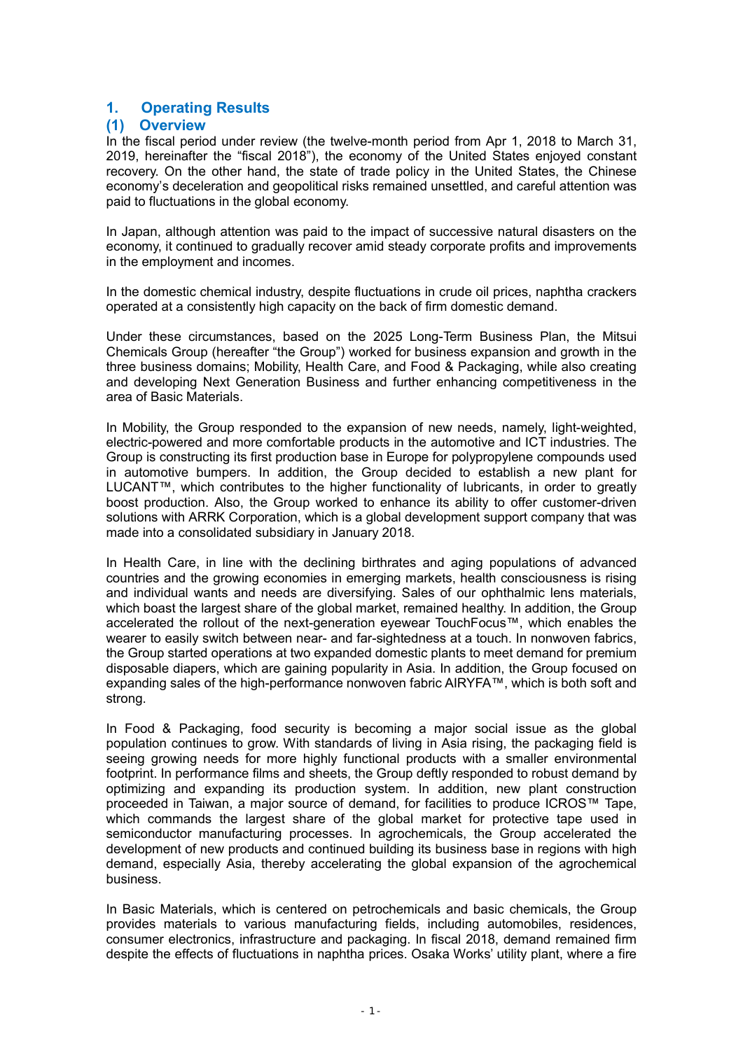# 1. Operating Results

# (1) Overview

In the fiscal period under review (the twelve-month period from Apr 1, 2018 to March 31, 2019, hereinafter the "fiscal 2018"), the economy of the United States enjoyed constant recovery. On the other hand, the state of trade policy in the United States, the Chinese economy's deceleration and geopolitical risks remained unsettled, and careful attention was paid to fluctuations in the global economy.

In Japan, although attention was paid to the impact of successive natural disasters on the economy, it continued to gradually recover amid steady corporate profits and improvements in the employment and incomes.

In the domestic chemical industry, despite fluctuations in crude oil prices, naphtha crackers operated at a consistently high capacity on the back of firm domestic demand.

Under these circumstances, based on the 2025 Long-Term Business Plan, the Mitsui Chemicals Group (hereafter "the Group") worked for business expansion and growth in the three business domains; Mobility, Health Care, and Food & Packaging, while also creating and developing Next Generation Business and further enhancing competitiveness in the area of Basic Materials.

In Mobility, the Group responded to the expansion of new needs, namely, light-weighted, electric-powered and more comfortable products in the automotive and ICT industries. The Group is constructing its first production base in Europe for polypropylene compounds used in automotive bumpers. In addition, the Group decided to establish a new plant for LUCANT™, which contributes to the higher functionality of lubricants, in order to greatly boost production. Also, the Group worked to enhance its ability to offer customer-driven solutions with ARRK Corporation, which is a global development support company that was made into a consolidated subsidiary in January 2018.

In Health Care, in line with the declining birthrates and aging populations of advanced countries and the growing economies in emerging markets, health consciousness is rising and individual wants and needs are diversifying. Sales of our ophthalmic lens materials, which boast the largest share of the global market, remained healthy. In addition, the Group accelerated the rollout of the next-generation eyewear TouchFocus™, which enables the wearer to easily switch between near- and far-sightedness at a touch. In nonwoven fabrics, the Group started operations at two expanded domestic plants to meet demand for premium disposable diapers, which are gaining popularity in Asia. In addition, the Group focused on expanding sales of the high-performance nonwoven fabric AIRYFA™, which is both soft and strong.

In Food & Packaging, food security is becoming a major social issue as the global population continues to grow. With standards of living in Asia rising, the packaging field is seeing growing needs for more highly functional products with a smaller environmental footprint. In performance films and sheets, the Group deftly responded to robust demand by optimizing and expanding its production system. In addition, new plant construction proceeded in Taiwan, a major source of demand, for facilities to produce ICROS™ Tape, which commands the largest share of the global market for protective tape used in semiconductor manufacturing processes. In agrochemicals, the Group accelerated the development of new products and continued building its business base in regions with high demand, especially Asia, thereby accelerating the global expansion of the agrochemical business.

In Basic Materials, which is centered on petrochemicals and basic chemicals, the Group provides materials to various manufacturing fields, including automobiles, residences, consumer electronics, infrastructure and packaging. In fiscal 2018, demand remained firm despite the effects of fluctuations in naphtha prices. Osaka Works' utility plant, where a fire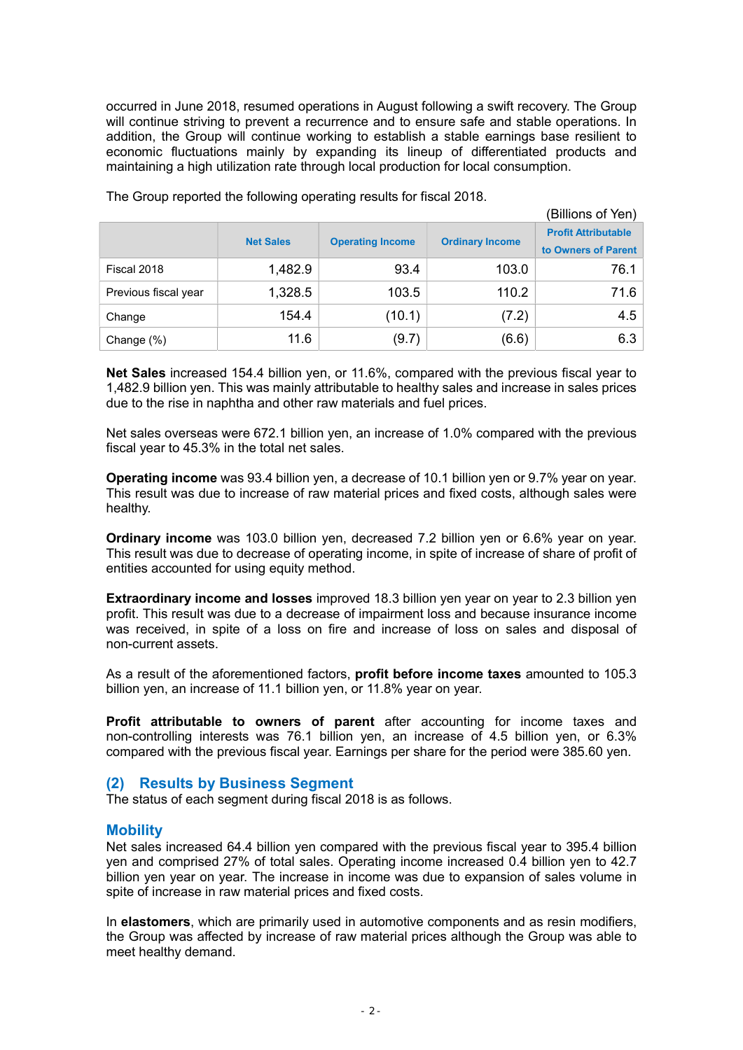occurred in June 2018, resumed operations in August following a swift recovery. The Group will continue striving to prevent a recurrence and to ensure safe and stable operations. In addition, the Group will continue working to establish a stable earnings base resilient to economic fluctuations mainly by expanding its lineup of differentiated products and maintaining a high utilization rate through local production for local consumption.

|                      | (Billions of Yen) |                         |                        |                                                   |
|----------------------|-------------------|-------------------------|------------------------|---------------------------------------------------|
|                      | <b>Net Sales</b>  | <b>Operating Income</b> | <b>Ordinary Income</b> | <b>Profit Attributable</b><br>to Owners of Parent |
| Fiscal 2018          | 1,482.9           | 93.4                    | 103.0                  | 76.1                                              |
| Previous fiscal year | 1,328.5           | 103.5                   | 110.2                  | 71.6                                              |
| Change               | 154.4             | (10.1)                  | (7.2)                  | 4.5                                               |
| Change (%)           | 11.6              | (9.7)                   | (6.6)                  | 6.3                                               |

The Group reported the following operating results for fiscal 2018.

Net Sales increased 154.4 billion yen, or 11.6%, compared with the previous fiscal year to 1,482.9 billion yen. This was mainly attributable to healthy sales and increase in sales prices due to the rise in naphtha and other raw materials and fuel prices.

Net sales overseas were 672.1 billion yen, an increase of 1.0% compared with the previous fiscal year to 45.3% in the total net sales.

Operating income was 93.4 billion yen, a decrease of 10.1 billion yen or 9.7% year on year. This result was due to increase of raw material prices and fixed costs, although sales were healthy.

Ordinary income was 103.0 billion yen, decreased 7.2 billion yen or 6.6% year on year. This result was due to decrease of operating income, in spite of increase of share of profit of entities accounted for using equity method.

**Extraordinary income and losses** improved 18.3 billion yen year on year to 2.3 billion yen profit. This result was due to a decrease of impairment loss and because insurance income was received, in spite of a loss on fire and increase of loss on sales and disposal of non-current assets.

As a result of the aforementioned factors, profit before income taxes amounted to 105.3 billion yen, an increase of 11.1 billion yen, or 11.8% year on year.

Profit attributable to owners of parent after accounting for income taxes and non-controlling interests was 76.1 billion yen, an increase of 4.5 billion yen, or 6.3% compared with the previous fiscal year. Earnings per share for the period were 385.60 yen.

# (2) Results by Business Segment

The status of each segment during fiscal 2018 is as follows.

# **Mobility**

Net sales increased 64.4 billion yen compared with the previous fiscal year to 395.4 billion yen and comprised 27% of total sales. Operating income increased 0.4 billion yen to 42.7 billion yen year on year. The increase in income was due to expansion of sales volume in spite of increase in raw material prices and fixed costs.

In elastomers, which are primarily used in automotive components and as resin modifiers, the Group was affected by increase of raw material prices although the Group was able to meet healthy demand.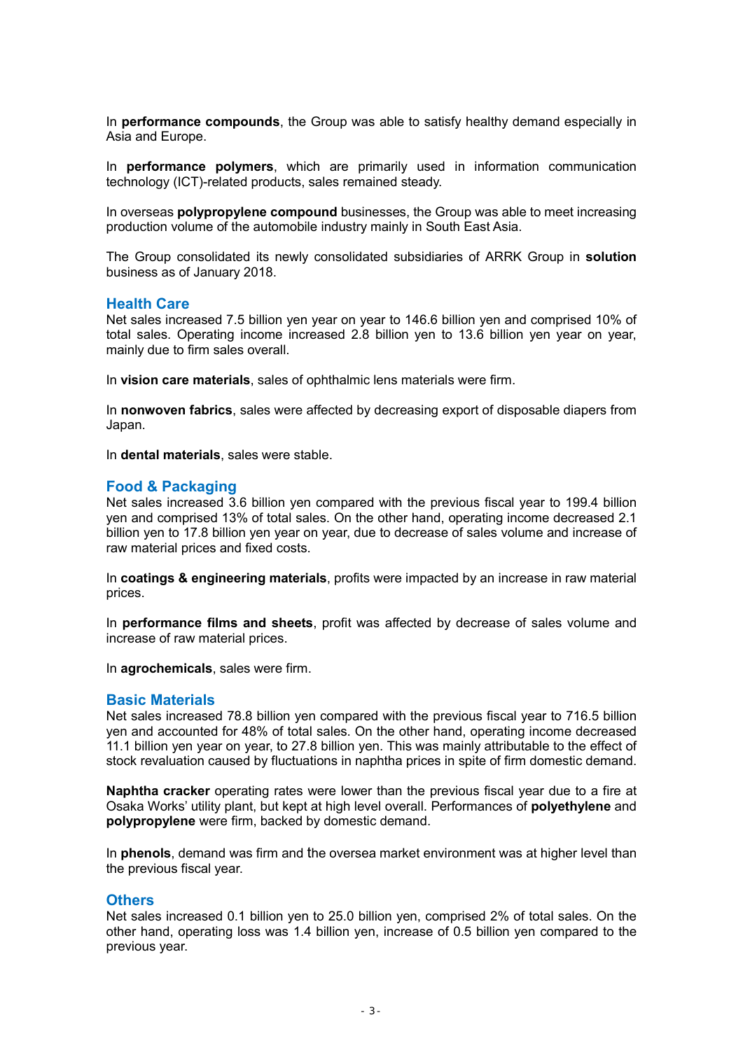In **performance compounds**, the Group was able to satisfy healthy demand especially in Asia and Europe.

In **performance polymers**, which are primarily used in information communication technology (ICT)-related products, sales remained steady.

In overseas **polypropylene compound** businesses, the Group was able to meet increasing production volume of the automobile industry mainly in South East Asia.

The Group consolidated its newly consolidated subsidiaries of ARRK Group in solution business as of January 2018.

# Health Care

Net sales increased 7.5 billion yen year on year to 146.6 billion yen and comprised 10% of total sales. Operating income increased 2.8 billion yen to 13.6 billion yen year on year, mainly due to firm sales overall.

In vision care materials, sales of ophthalmic lens materials were firm.

In nonwoven fabrics, sales were affected by decreasing export of disposable diapers from Japan.

In dental materials, sales were stable.

# Food & Packaging

Net sales increased 3.6 billion yen compared with the previous fiscal year to 199.4 billion yen and comprised 13% of total sales. On the other hand, operating income decreased 2.1 billion yen to 17.8 billion yen year on year, due to decrease of sales volume and increase of raw material prices and fixed costs.

In coatings & engineering materials, profits were impacted by an increase in raw material prices.

In performance films and sheets, profit was affected by decrease of sales volume and increase of raw material prices.

In agrochemicals, sales were firm.

# Basic Materials

Net sales increased 78.8 billion yen compared with the previous fiscal year to 716.5 billion yen and accounted for 48% of total sales. On the other hand, operating income decreased 11.1 billion yen year on year, to 27.8 billion yen. This was mainly attributable to the effect of stock revaluation caused by fluctuations in naphtha prices in spite of firm domestic demand.

Naphtha cracker operating rates were lower than the previous fiscal year due to a fire at Osaka Works' utility plant, but kept at high level overall. Performances of polyethylene and polypropylene were firm, backed by domestic demand.

In **phenols**, demand was firm and the oversea market environment was at higher level than the previous fiscal year.

# **Others**

Net sales increased 0.1 billion yen to 25.0 billion yen, comprised 2% of total sales. On the other hand, operating loss was 1.4 billion yen, increase of 0.5 billion yen compared to the previous year.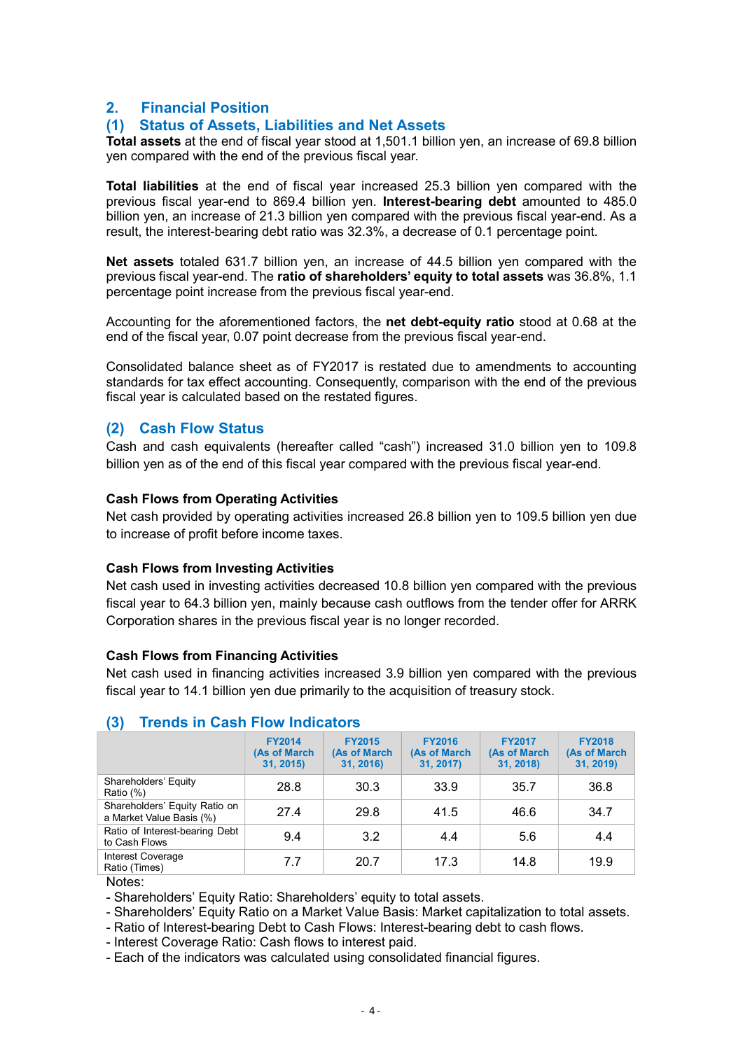# 2. Financial Position

# (1) Status of Assets, Liabilities and Net Assets

Total assets at the end of fiscal year stood at 1,501.1 billion yen, an increase of 69.8 billion yen compared with the end of the previous fiscal year.

Total liabilities at the end of fiscal year increased 25.3 billion yen compared with the previous fiscal year-end to 869.4 billion yen. Interest-bearing debt amounted to 485.0 billion yen, an increase of 21.3 billion yen compared with the previous fiscal year-end. As a result, the interest-bearing debt ratio was 32.3%, a decrease of 0.1 percentage point.

Net assets totaled 631.7 billion yen, an increase of 44.5 billion yen compared with the previous fiscal year-end. The **ratio of shareholders' equity to total assets** was 36.8%, 1.1 percentage point increase from the previous fiscal year-end.

Accounting for the aforementioned factors, the net debt-equity ratio stood at 0.68 at the end of the fiscal year, 0.07 point decrease from the previous fiscal year-end.

Consolidated balance sheet as of FY2017 is restated due to amendments to accounting standards for tax effect accounting. Consequently, comparison with the end of the previous fiscal year is calculated based on the restated figures.

# (2) Cash Flow Status

Cash and cash equivalents (hereafter called "cash") increased 31.0 billion yen to 109.8 billion yen as of the end of this fiscal year compared with the previous fiscal year-end.

# Cash Flows from Operating Activities

Net cash provided by operating activities increased 26.8 billion yen to 109.5 billion yen due to increase of profit before income taxes.

# Cash Flows from Investing Activities

Net cash used in investing activities decreased 10.8 billion yen compared with the previous fiscal year to 64.3 billion yen, mainly because cash outflows from the tender offer for ARRK Corporation shares in the previous fiscal year is no longer recorded.

# Cash Flows from Financing Activities

Net cash used in financing activities increased 3.9 billion yen compared with the previous fiscal year to 14.1 billion yen due primarily to the acquisition of treasury stock.

|                                                           | <b>FY2014</b><br>(As of March<br>31, 2015) | <b>FY2015</b><br>(As of March<br>31, 2016) | <b>FY2016</b><br>(As of March<br>31, 2017) | <b>FY2017</b><br>(As of March<br>31, 2018) | <b>FY2018</b><br>(As of March<br>31, 2019) |
|-----------------------------------------------------------|--------------------------------------------|--------------------------------------------|--------------------------------------------|--------------------------------------------|--------------------------------------------|
| Shareholders' Equity<br>Ratio (%)                         | 28.8                                       | 30.3                                       | 33.9                                       | 35.7                                       | 36.8                                       |
| Shareholders' Equity Ratio on<br>a Market Value Basis (%) | 27.4                                       | 29.8                                       | 41.5                                       | 46.6                                       | 34.7                                       |
| Ratio of Interest-bearing Debt<br>to Cash Flows           | 9.4                                        | 3.2                                        | 4.4                                        | 5.6                                        | 4.4                                        |
| Interest Coverage<br>Ratio (Times)                        | 7.7                                        | 20.7                                       | 17.3                                       | 14.8                                       | 19.9                                       |
|                                                           |                                            |                                            |                                            |                                            |                                            |

# (3) Trends in Cash Flow Indicators

Notes:

- Shareholders' Equity Ratio: Shareholders' equity to total assets.

- Shareholders' Equity Ratio on a Market Value Basis: Market capitalization to total assets.

- Ratio of Interest-bearing Debt to Cash Flows: Interest-bearing debt to cash flows.

- Interest Coverage Ratio: Cash flows to interest paid.

- Each of the indicators was calculated using consolidated financial figures.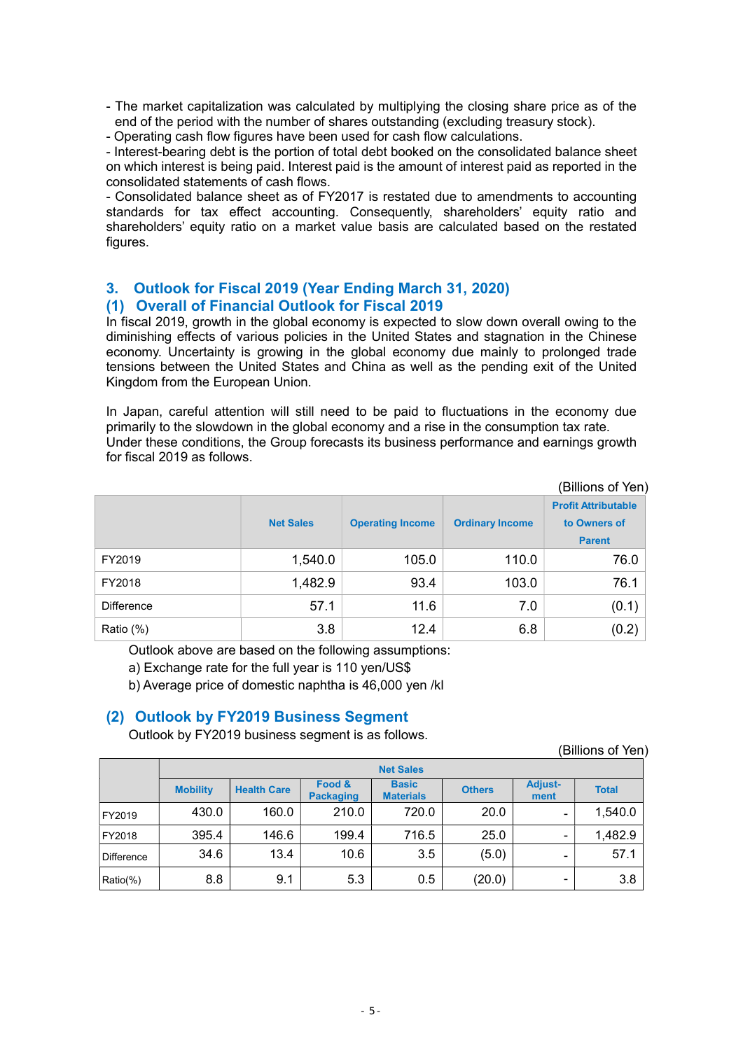- The market capitalization was calculated by multiplying the closing share price as of the end of the period with the number of shares outstanding (excluding treasury stock).
- Operating cash flow figures have been used for cash flow calculations.

- Interest-bearing debt is the portion of total debt booked on the consolidated balance sheet on which interest is being paid. Interest paid is the amount of interest paid as reported in the consolidated statements of cash flows.

- Consolidated balance sheet as of FY2017 is restated due to amendments to accounting standards for tax effect accounting. Consequently, shareholders' equity ratio and shareholders' equity ratio on a market value basis are calculated based on the restated figures.

# 3. Outlook for Fiscal 2019 (Year Ending March 31, 2020) (1) Overall of Financial Outlook for Fiscal 2019

In fiscal 2019, growth in the global economy is expected to slow down overall owing to the diminishing effects of various policies in the United States and stagnation in the Chinese economy. Uncertainty is growing in the global economy due mainly to prolonged trade tensions between the United States and China as well as the pending exit of the United Kingdom from the European Union.

In Japan, careful attention will still need to be paid to fluctuations in the economy due primarily to the slowdown in the global economy and a rise in the consumption tax rate. Under these conditions, the Group forecasts its business performance and earnings growth for fiscal 2019 as follows.

| (Billions of Yen) |                  |                         |                        |                                                             |  |  |
|-------------------|------------------|-------------------------|------------------------|-------------------------------------------------------------|--|--|
|                   | <b>Net Sales</b> | <b>Operating Income</b> | <b>Ordinary Income</b> | <b>Profit Attributable</b><br>to Owners of<br><b>Parent</b> |  |  |
| FY2019            | 1,540.0          | 105.0                   | 110.0                  | 76.0                                                        |  |  |
| FY2018            | 1,482.9          | 93.4                    | 103.0                  | 76.1                                                        |  |  |
| <b>Difference</b> | 57.1             | 11.6                    | 7.0                    | (0.1)                                                       |  |  |
| Ratio (%)         | 3.8              | 12.4                    | 6.8                    | (0.2)                                                       |  |  |

Outlook above are based on the following assumptions:

a) Exchange rate for the full year is 110 yen/US\$

b) Average price of domestic naphtha is 46,000 yen /kl

# (2) Outlook by FY2019 Business Segment

Outlook by FY2019 business segment is as follows.

(Billions of Yen)

|            |                 |                    |                            | <b>Net Sales</b>                 |               |                          |              |
|------------|-----------------|--------------------|----------------------------|----------------------------------|---------------|--------------------------|--------------|
|            | <b>Mobility</b> | <b>Health Care</b> | Food &<br><b>Packaging</b> | <b>Basic</b><br><b>Materials</b> | <b>Others</b> | <b>Adjust-</b><br>ment   | <b>Total</b> |
| FY2019     | 430.0           | 160.0              | 210.0                      | 720.0                            | 20.0          | $\overline{\phantom{0}}$ | 1,540.0      |
| FY2018     | 395.4           | 146.6              | 199.4                      | 716.5                            | 25.0          | $\overline{\phantom{0}}$ | 1,482.9      |
| Difference | 34.6            | 13.4               | 10.6                       | 3.5                              | (5.0)         | -                        | 57.1         |
| Ratio(%)   | 8.8             | 9.1                | 5.3                        | 0.5                              | (20.0)        | $\overline{\phantom{0}}$ | 3.8          |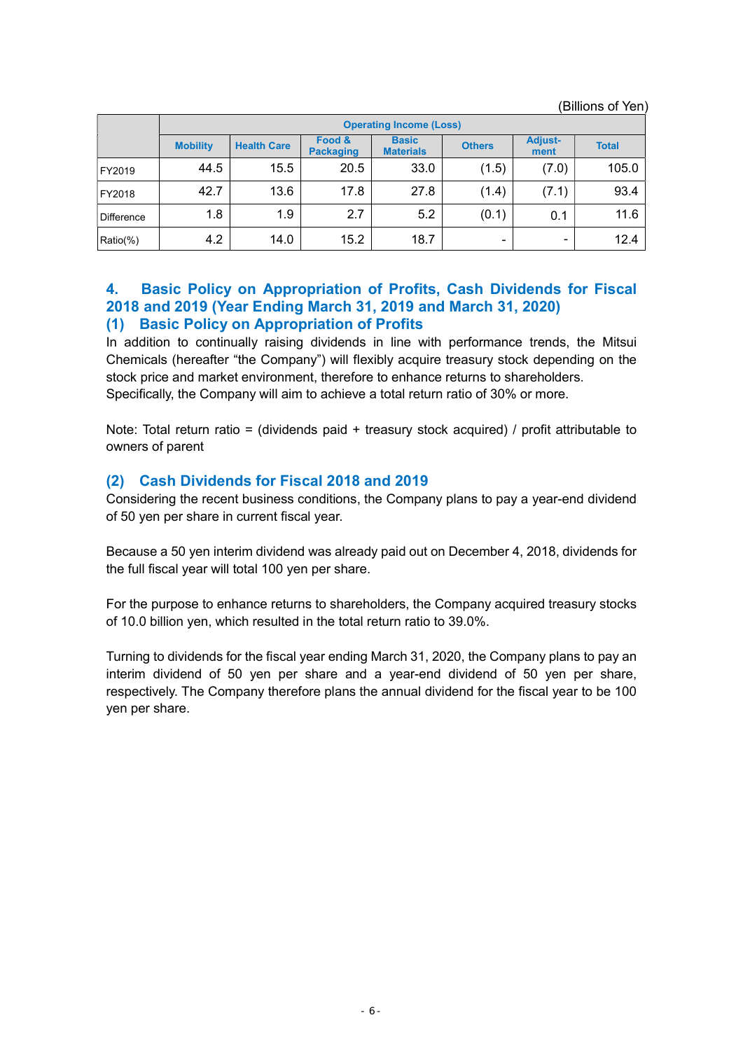|            |                 | <b>Operating Income (Loss)</b> |                            |                                  |               |                        |              |  |
|------------|-----------------|--------------------------------|----------------------------|----------------------------------|---------------|------------------------|--------------|--|
|            | <b>Mobility</b> | <b>Health Care</b>             | Food &<br><b>Packaging</b> | <b>Basic</b><br><b>Materials</b> | <b>Others</b> | <b>Adjust-</b><br>ment | <b>Total</b> |  |
| FY2019     | 44.5            | 15.5                           | 20.5                       | 33.0                             | (1.5)         | (7.0)                  | 105.0        |  |
| FY2018     | 42.7            | 13.6                           | 17.8                       | 27.8                             | (1.4)         | (7.1)                  | 93.4         |  |
| Difference | 1.8             | 1.9                            | 2.7                        | 5.2                              | (0.1)         | 0.1                    | 11.6         |  |
| Ratio(%)   | 4.2             | 14.0                           | 15.2                       | 18.7                             | ٠             | ۰                      | 12.4         |  |

(Billions of Yen)

4. Basic Policy on Appropriation of Profits, Cash Dividends for Fiscal 2018 and 2019 (Year Ending March 31, 2019 and March 31, 2020)

# (1) Basic Policy on Appropriation of Profits

In addition to continually raising dividends in line with performance trends, the Mitsui Chemicals (hereafter "the Company") will flexibly acquire treasury stock depending on the stock price and market environment, therefore to enhance returns to shareholders. Specifically, the Company will aim to achieve a total return ratio of 30% or more.

Note: Total return ratio = (dividends paid + treasury stock acquired) / profit attributable to owners of parent

# (2) Cash Dividends for Fiscal 2018 and 2019

Considering the recent business conditions, the Company plans to pay a year-end dividend of 50 yen per share in current fiscal year.

Because a 50 yen interim dividend was already paid out on December 4, 2018, dividends for the full fiscal year will total 100 yen per share.

For the purpose to enhance returns to shareholders, the Company acquired treasury stocks of 10.0 billion yen, which resulted in the total return ratio to 39.0%.

Turning to dividends for the fiscal year ending March 31, 2020, the Company plans to pay an interim dividend of 50 yen per share and a year-end dividend of 50 yen per share, respectively. The Company therefore plans the annual dividend for the fiscal year to be 100 yen per share.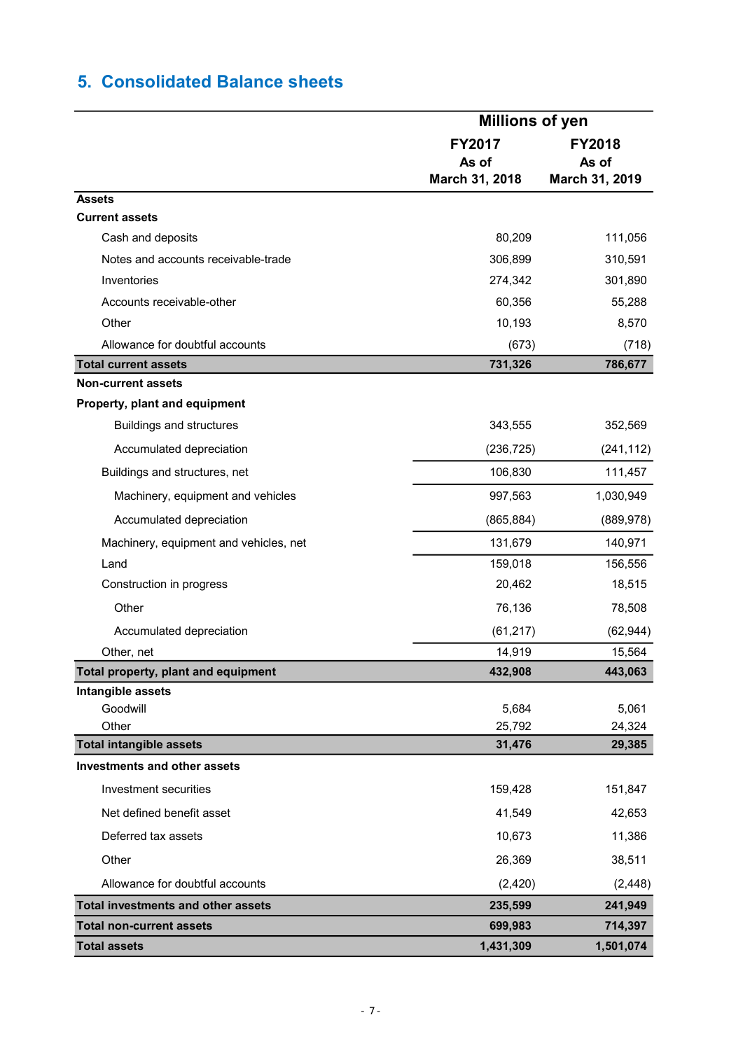# 5. Consolidated Balance sheets

|                                           |                  | <b>Millions of yen</b> |  |  |
|-------------------------------------------|------------------|------------------------|--|--|
|                                           | <b>FY2017</b>    | FY2018                 |  |  |
|                                           | As of            | As of                  |  |  |
|                                           | March 31, 2018   | March 31, 2019         |  |  |
| <b>Assets</b>                             |                  |                        |  |  |
| <b>Current assets</b>                     |                  |                        |  |  |
| Cash and deposits                         | 80,209           | 111,056                |  |  |
| Notes and accounts receivable-trade       | 306,899          | 310,591                |  |  |
| Inventories                               | 274,342          | 301,890                |  |  |
| Accounts receivable-other                 | 60,356           | 55,288                 |  |  |
| Other                                     | 10,193           | 8,570                  |  |  |
| Allowance for doubtful accounts           | (673)            | (718)                  |  |  |
| <b>Total current assets</b>               | 731,326          | 786,677                |  |  |
| <b>Non-current assets</b>                 |                  |                        |  |  |
| Property, plant and equipment             |                  |                        |  |  |
| <b>Buildings and structures</b>           | 343,555          | 352,569                |  |  |
| Accumulated depreciation                  | (236, 725)       | (241, 112)             |  |  |
| Buildings and structures, net             | 106,830          | 111,457                |  |  |
| Machinery, equipment and vehicles         | 997,563          | 1,030,949              |  |  |
| Accumulated depreciation                  | (865, 884)       | (889, 978)             |  |  |
| Machinery, equipment and vehicles, net    | 131,679          | 140,971                |  |  |
| Land                                      | 159,018          | 156,556                |  |  |
| Construction in progress                  | 20,462           | 18,515                 |  |  |
| Other                                     | 76,136           | 78,508                 |  |  |
| Accumulated depreciation                  | (61, 217)        | (62, 944)              |  |  |
| Other, net                                | 14,919           | 15,564                 |  |  |
| Total property, plant and equipment       | 432,908          | 443,063                |  |  |
| Intangible assets                         |                  |                        |  |  |
| Goodwill<br>Other                         | 5,684            | 5,061                  |  |  |
| <b>Total intangible assets</b>            | 25,792<br>31,476 | 24,324<br>29,385       |  |  |
| <b>Investments and other assets</b>       |                  |                        |  |  |
| Investment securities                     | 159,428          | 151,847                |  |  |
| Net defined benefit asset                 | 41,549           | 42,653                 |  |  |
|                                           |                  |                        |  |  |
| Deferred tax assets                       | 10,673           | 11,386                 |  |  |
| Other                                     | 26,369           | 38,511                 |  |  |
| Allowance for doubtful accounts           | (2, 420)         | (2, 448)               |  |  |
| <b>Total investments and other assets</b> | 235,599          | 241,949                |  |  |
| <b>Total non-current assets</b>           | 699,983          | 714,397                |  |  |
| <b>Total assets</b>                       | 1,431,309        | 1,501,074              |  |  |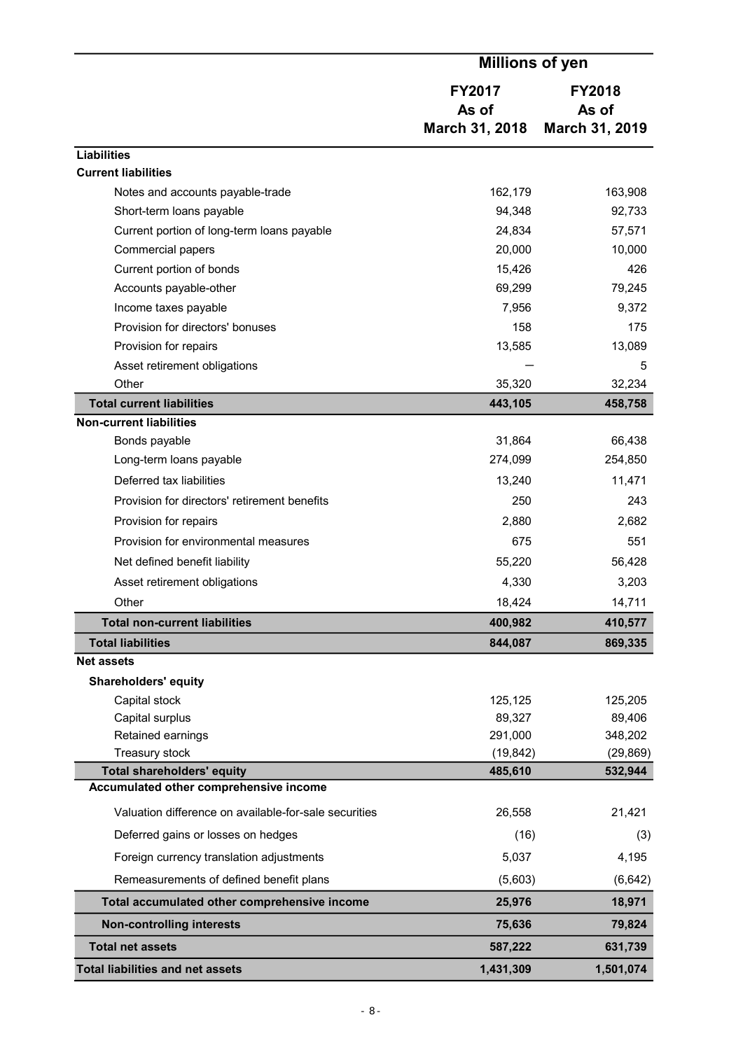|                                                       | <b>Millions of yen</b>                   |                                          |  |
|-------------------------------------------------------|------------------------------------------|------------------------------------------|--|
|                                                       | <b>FY2017</b><br>As of<br>March 31, 2018 | <b>FY2018</b><br>As of<br>March 31, 2019 |  |
|                                                       |                                          |                                          |  |
| <b>Liabilities</b><br><b>Current liabilities</b>      |                                          |                                          |  |
| Notes and accounts payable-trade                      | 162,179                                  | 163,908                                  |  |
| Short-term loans payable                              | 94,348                                   | 92,733                                   |  |
| Current portion of long-term loans payable            | 24,834                                   | 57,571                                   |  |
| Commercial papers                                     | 20,000                                   | 10,000                                   |  |
| Current portion of bonds                              | 15,426                                   | 426                                      |  |
| Accounts payable-other                                | 69,299                                   | 79,245                                   |  |
| Income taxes payable                                  | 7,956                                    | 9,372                                    |  |
| Provision for directors' bonuses                      | 158                                      | 175                                      |  |
| Provision for repairs                                 | 13,585                                   | 13,089                                   |  |
| Asset retirement obligations                          |                                          | 5                                        |  |
| Other                                                 | 35,320                                   | 32,234                                   |  |
| <b>Total current liabilities</b>                      | 443,105                                  | 458,758                                  |  |
| <b>Non-current liabilities</b>                        |                                          |                                          |  |
| Bonds payable                                         | 31,864                                   | 66,438                                   |  |
| Long-term loans payable                               | 274,099                                  | 254,850                                  |  |
| Deferred tax liabilities                              | 13,240                                   | 11,471                                   |  |
| Provision for directors' retirement benefits          | 250                                      | 243                                      |  |
| Provision for repairs                                 | 2,880                                    | 2,682                                    |  |
| Provision for environmental measures                  | 675                                      | 551                                      |  |
| Net defined benefit liability                         | 55,220                                   | 56,428                                   |  |
| Asset retirement obligations                          | 4,330                                    | 3,203                                    |  |
| Other                                                 | 18,424                                   | 14,711                                   |  |
| <b>Total non-current liabilities</b>                  | 400,982                                  | 410,577                                  |  |
| <b>Total liabilities</b>                              | 844,087                                  | 869,335                                  |  |
| <b>Net assets</b>                                     |                                          |                                          |  |
| <b>Shareholders' equity</b>                           |                                          |                                          |  |
| Capital stock                                         | 125,125                                  | 125,205                                  |  |
| Capital surplus                                       | 89,327                                   | 89,406                                   |  |
| Retained earnings<br>Treasury stock                   | 291,000<br>(19, 842)                     | 348,202<br>(29, 869)                     |  |
| <b>Total shareholders' equity</b>                     | 485,610                                  | 532,944                                  |  |
| Accumulated other comprehensive income                |                                          |                                          |  |
| Valuation difference on available-for-sale securities | 26,558                                   | 21,421                                   |  |
| Deferred gains or losses on hedges                    | (16)                                     | (3)                                      |  |
| Foreign currency translation adjustments              | 5,037                                    | 4,195                                    |  |
| Remeasurements of defined benefit plans               | (5,603)                                  | (6, 642)                                 |  |
| Total accumulated other comprehensive income          | 25,976                                   | 18,971                                   |  |
| <b>Non-controlling interests</b>                      | 75,636                                   | 79,824                                   |  |
| <b>Total net assets</b>                               | 587,222                                  | 631,739                                  |  |
| <b>Total liabilities and net assets</b>               | 1,431,309                                | 1,501,074                                |  |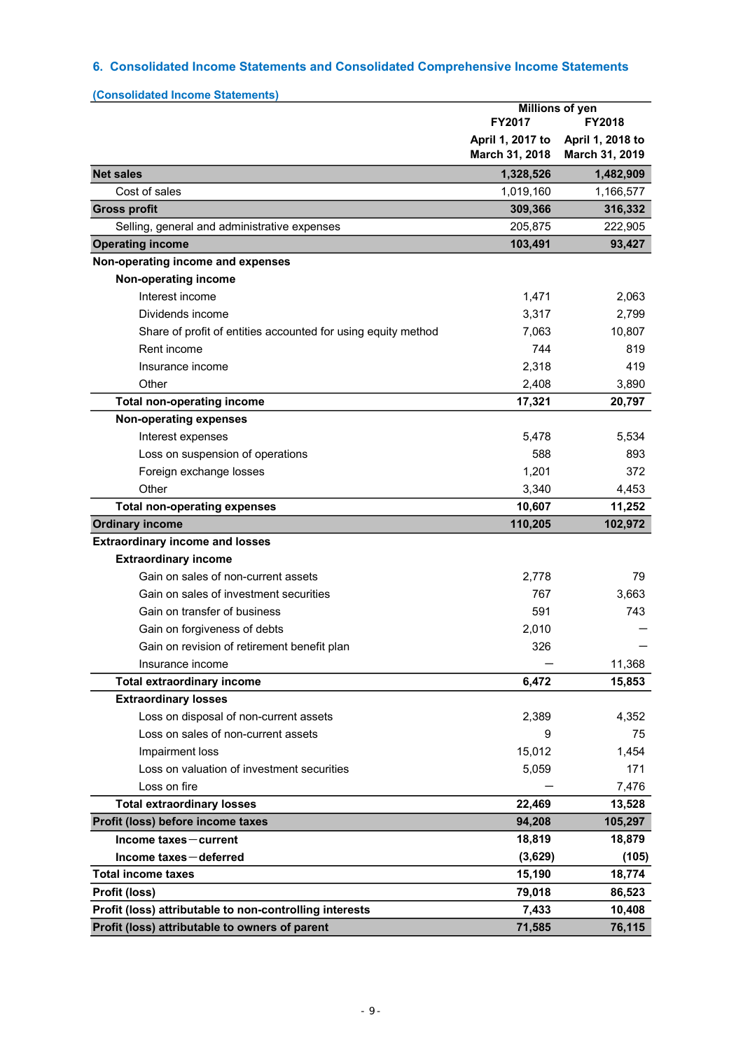# 6. Consolidated Income Statements and Consolidated Comprehensive Income Statements

| (Consolidated Income Statements)                              | <b>Millions of yen</b>             |                                    |  |
|---------------------------------------------------------------|------------------------------------|------------------------------------|--|
|                                                               | FY2017                             | FY2018                             |  |
|                                                               | April 1, 2017 to<br>March 31, 2018 | April 1, 2018 to<br>March 31, 2019 |  |
| <b>Net sales</b>                                              | 1,328,526                          | 1,482,909                          |  |
| Cost of sales                                                 | 1,019,160                          | 1,166,577                          |  |
| <b>Gross profit</b>                                           | 309,366                            | 316,332                            |  |
| Selling, general and administrative expenses                  | 205,875                            | 222,905                            |  |
| <b>Operating income</b>                                       | 103,491                            | 93,427                             |  |
| Non-operating income and expenses                             |                                    |                                    |  |
| Non-operating income                                          |                                    |                                    |  |
| Interest income                                               | 1,471                              | 2,063                              |  |
| Dividends income                                              | 3,317                              | 2,799                              |  |
| Share of profit of entities accounted for using equity method | 7,063                              | 10,807                             |  |
| Rent income                                                   | 744                                | 819                                |  |
| Insurance income                                              | 2,318                              | 419                                |  |
| Other                                                         | 2,408                              | 3,890                              |  |
| <b>Total non-operating income</b>                             | 17,321                             | 20,797                             |  |
| <b>Non-operating expenses</b>                                 |                                    |                                    |  |
| Interest expenses                                             | 5,478                              | 5,534                              |  |
| Loss on suspension of operations                              | 588                                | 893                                |  |
| Foreign exchange losses                                       | 1,201                              | 372                                |  |
| Other                                                         | 3,340                              | 4,453                              |  |
| <b>Total non-operating expenses</b>                           | 10,607                             | 11,252                             |  |
| <b>Ordinary income</b>                                        | 110,205                            | 102,972                            |  |
| <b>Extraordinary income and losses</b>                        |                                    |                                    |  |
| <b>Extraordinary income</b>                                   |                                    |                                    |  |
| Gain on sales of non-current assets                           | 2,778                              | 79                                 |  |
| Gain on sales of investment securities                        | 767                                | 3,663                              |  |
| Gain on transfer of business                                  | 591                                | 743                                |  |
| Gain on forgiveness of debts                                  | 2,010                              |                                    |  |
| Gain on revision of retirement benefit plan                   | 326                                |                                    |  |
| Insurance income                                              |                                    | 11,368                             |  |
| <b>Total extraordinary income</b>                             | 6,472                              | 15,853                             |  |
| <b>Extraordinary losses</b>                                   |                                    |                                    |  |
| Loss on disposal of non-current assets                        | 2,389                              | 4,352                              |  |
| Loss on sales of non-current assets                           | 9                                  | 75                                 |  |
| Impairment loss                                               | 15,012                             | 1,454                              |  |
| Loss on valuation of investment securities                    | 5,059                              | 171                                |  |
| Loss on fire                                                  |                                    | 7,476                              |  |
| <b>Total extraordinary losses</b>                             | 22,469                             | 13,528                             |  |
| Profit (loss) before income taxes                             | 94,208                             | 105,297                            |  |
| Income taxes-current                                          | 18,819                             | 18,879                             |  |
| Income taxes-deferred                                         | (3,629)                            | (105)                              |  |
| <b>Total income taxes</b>                                     | 15,190                             | 18,774                             |  |
| Profit (loss)                                                 | 79,018                             | 86,523                             |  |
| Profit (loss) attributable to non-controlling interests       | 7,433                              | 10,408                             |  |
| Profit (loss) attributable to owners of parent                | 71,585                             | 76,115                             |  |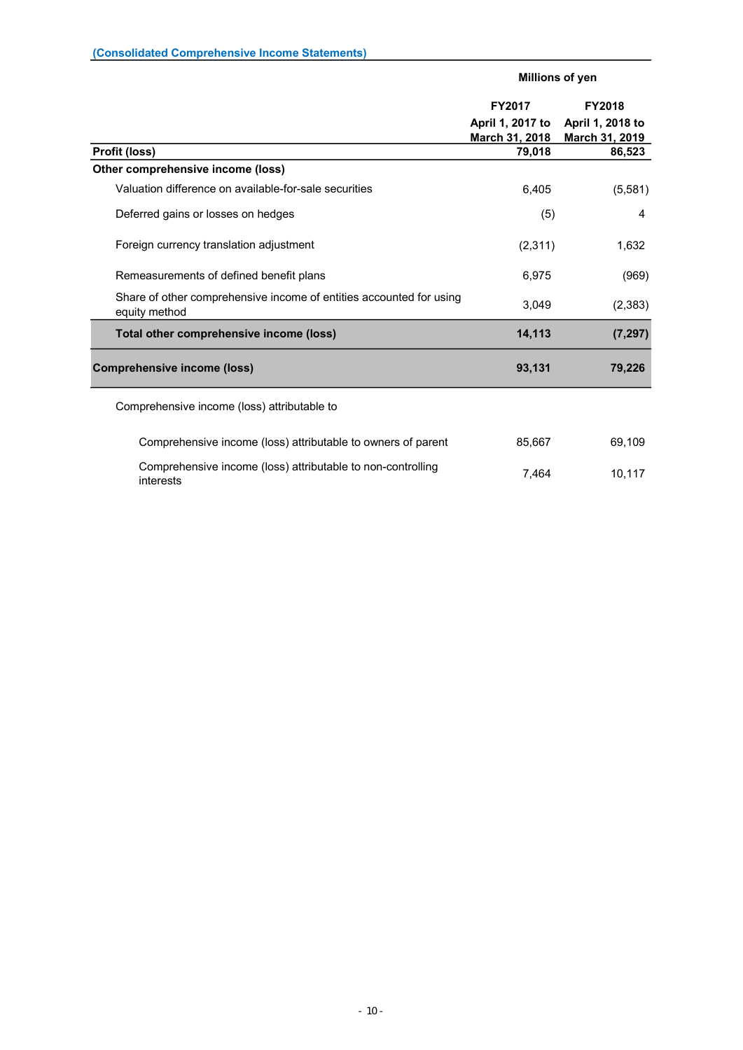|                                                                                      | Millions of yen  |                       |  |
|--------------------------------------------------------------------------------------|------------------|-----------------------|--|
|                                                                                      | FY2017           | <b>FY2018</b>         |  |
|                                                                                      | April 1, 2017 to | April 1, 2018 to      |  |
|                                                                                      | March 31, 2018   | <b>March 31, 2019</b> |  |
| Profit (loss)                                                                        | 79,018           | 86,523                |  |
| Other comprehensive income (loss)                                                    |                  |                       |  |
| Valuation difference on available-for-sale securities                                | 6,405            | (5,581)               |  |
| Deferred gains or losses on hedges                                                   | (5)              | 4                     |  |
| Foreign currency translation adjustment                                              | (2,311)          | 1,632                 |  |
| Remeasurements of defined benefit plans                                              | 6,975            | (969)                 |  |
| Share of other comprehensive income of entities accounted for using<br>equity method | 3,049            | (2, 383)              |  |
| Total other comprehensive income (loss)                                              | 14,113           | (7, 297)              |  |
| <b>Comprehensive income (loss)</b>                                                   | 93,131           | 79,226                |  |
| Comprehensive income (loss) attributable to                                          |                  |                       |  |
| Comprehensive income (loss) attributable to owners of parent                         | 85,667           | 69,109                |  |
| Comprehensive income (loss) attributable to non-controlling<br>interests             | 7,464            | 10,117                |  |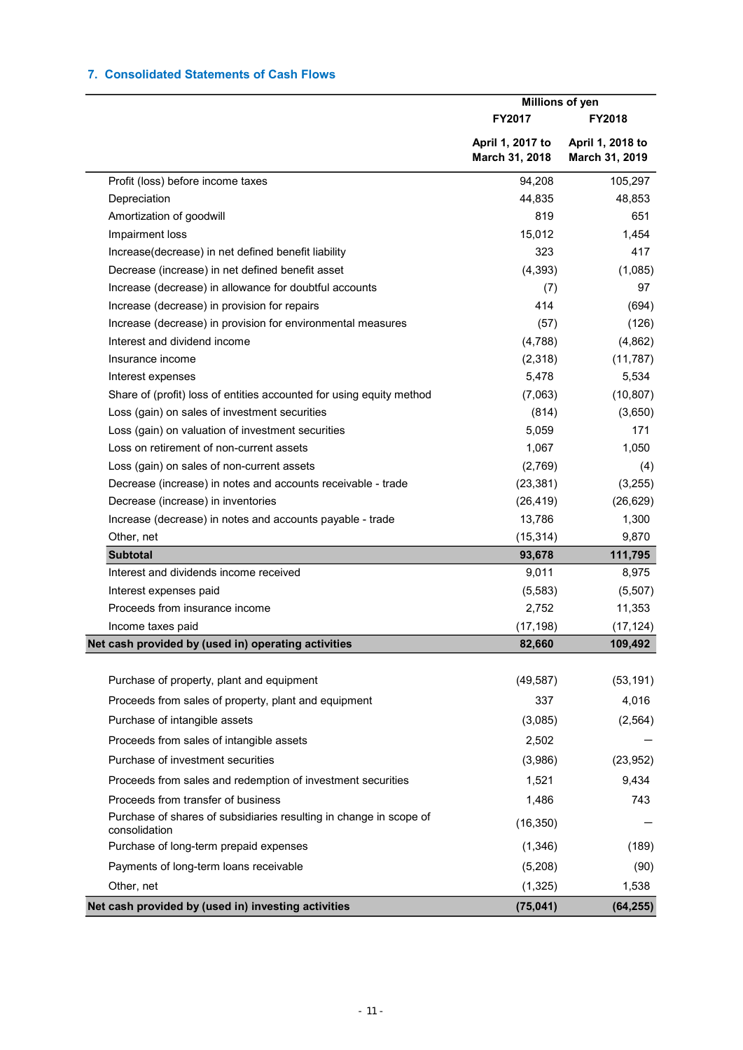# 7. Consolidated Statements of Cash Flows

|                                                                                     | Millions of yen                    |                                    |  |
|-------------------------------------------------------------------------------------|------------------------------------|------------------------------------|--|
|                                                                                     | FY2017                             | <b>FY2018</b>                      |  |
|                                                                                     | April 1, 2017 to<br>March 31, 2018 | April 1, 2018 to<br>March 31, 2019 |  |
| Profit (loss) before income taxes                                                   | 94,208                             | 105,297                            |  |
| Depreciation                                                                        | 44,835                             | 48,853                             |  |
| Amortization of goodwill                                                            | 819                                | 651                                |  |
| Impairment loss                                                                     | 15,012                             | 1,454                              |  |
| Increase(decrease) in net defined benefit liability                                 | 323                                | 417                                |  |
| Decrease (increase) in net defined benefit asset                                    | (4, 393)                           | (1,085)                            |  |
| Increase (decrease) in allowance for doubtful accounts                              | (7)                                | 97                                 |  |
| Increase (decrease) in provision for repairs                                        | 414                                | (694)                              |  |
| Increase (decrease) in provision for environmental measures                         | (57)                               | (126)                              |  |
| Interest and dividend income                                                        | (4,788)                            | (4,862)                            |  |
| Insurance income                                                                    | (2,318)                            | (11, 787)                          |  |
| Interest expenses                                                                   | 5,478                              | 5,534                              |  |
| Share of (profit) loss of entities accounted for using equity method                | (7,063)                            | (10, 807)                          |  |
| Loss (gain) on sales of investment securities                                       | (814)                              | (3,650)                            |  |
| Loss (gain) on valuation of investment securities                                   | 5,059                              | 171                                |  |
| Loss on retirement of non-current assets                                            | 1,067                              | 1,050                              |  |
| Loss (gain) on sales of non-current assets                                          | (2,769)                            | (4)                                |  |
| Decrease (increase) in notes and accounts receivable - trade                        | (23, 381)                          | (3,255)                            |  |
| Decrease (increase) in inventories                                                  | (26, 419)                          | (26, 629)                          |  |
| Increase (decrease) in notes and accounts payable - trade                           | 13,786                             | 1,300                              |  |
| Other, net                                                                          | (15, 314)                          | 9,870                              |  |
| <b>Subtotal</b>                                                                     | 93,678                             | 111,795                            |  |
| Interest and dividends income received                                              | 9,011                              | 8,975                              |  |
| Interest expenses paid                                                              | (5, 583)                           | (5,507)                            |  |
| Proceeds from insurance income                                                      | 2,752                              | 11,353                             |  |
| Income taxes paid                                                                   | (17, 198)                          | (17, 124)                          |  |
| Net cash provided by (used in) operating activities                                 | 82,660                             | 109,492                            |  |
| Purchase of property, plant and equipment                                           | (49, 587)                          | (53, 191)                          |  |
| Proceeds from sales of property, plant and equipment                                | 337                                | 4,016                              |  |
| Purchase of intangible assets                                                       | (3,085)                            | (2, 564)                           |  |
| Proceeds from sales of intangible assets                                            | 2,502                              |                                    |  |
| Purchase of investment securities                                                   | (3,986)                            | (23, 952)                          |  |
| Proceeds from sales and redemption of investment securities                         | 1,521                              | 9,434                              |  |
| Proceeds from transfer of business                                                  | 1,486                              | 743                                |  |
| Purchase of shares of subsidiaries resulting in change in scope of<br>consolidation | (16, 350)                          |                                    |  |
| Purchase of long-term prepaid expenses                                              | (1,346)                            | (189)                              |  |
| Payments of long-term loans receivable                                              | (5,208)                            | (90)                               |  |
| Other, net                                                                          | (1, 325)                           | 1,538                              |  |
| Net cash provided by (used in) investing activities                                 | (75, 041)                          | (64, 255)                          |  |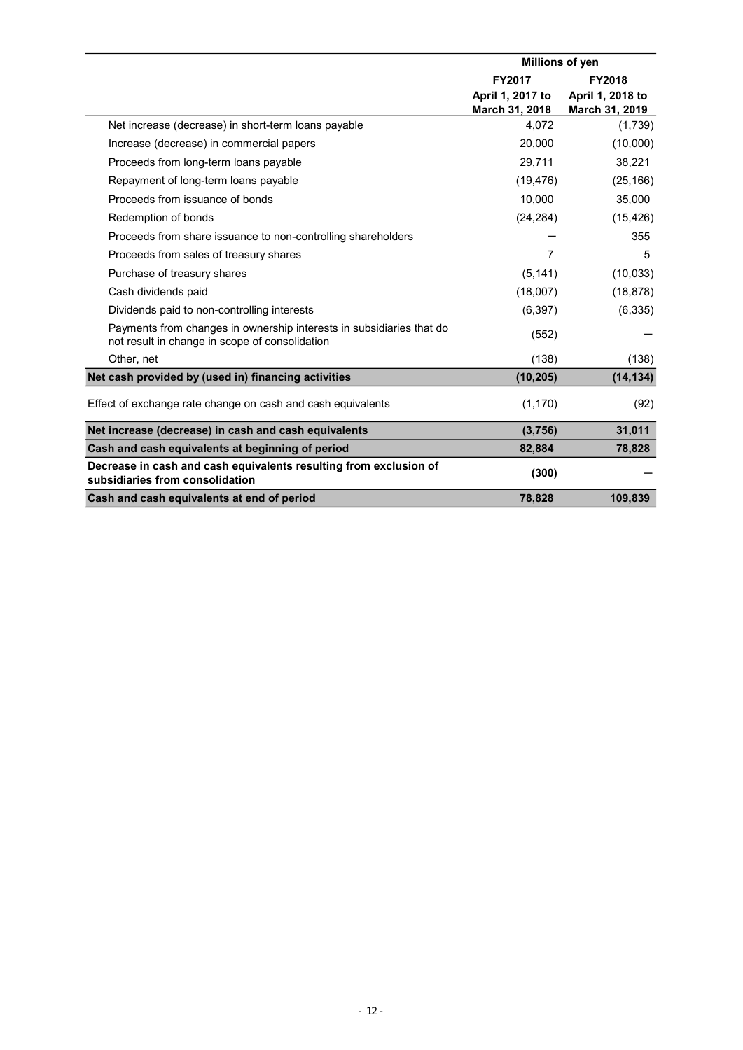|                                                                                                                        | Millions of yen  |                  |  |
|------------------------------------------------------------------------------------------------------------------------|------------------|------------------|--|
|                                                                                                                        | FY2017           | <b>FY2018</b>    |  |
|                                                                                                                        | April 1, 2017 to | April 1, 2018 to |  |
|                                                                                                                        | March 31, 2018   | March 31, 2019   |  |
| Net increase (decrease) in short-term loans payable                                                                    | 4,072            | (1,739)          |  |
| Increase (decrease) in commercial papers                                                                               | 20,000           | (10,000)         |  |
| Proceeds from long-term loans payable                                                                                  | 29,711           | 38,221           |  |
| Repayment of long-term loans payable                                                                                   | (19, 476)        | (25, 166)        |  |
| Proceeds from issuance of bonds                                                                                        | 10.000           | 35,000           |  |
| Redemption of bonds                                                                                                    | (24, 284)        | (15, 426)        |  |
| Proceeds from share issuance to non-controlling shareholders                                                           |                  | 355              |  |
| Proceeds from sales of treasury shares                                                                                 | $\overline{7}$   | 5                |  |
| Purchase of treasury shares                                                                                            | (5, 141)         | (10, 033)        |  |
| Cash dividends paid                                                                                                    | (18,007)         | (18, 878)        |  |
| Dividends paid to non-controlling interests                                                                            | (6, 397)         | (6, 335)         |  |
| Payments from changes in ownership interests in subsidiaries that do<br>not result in change in scope of consolidation | (552)            |                  |  |
| Other, net                                                                                                             | (138)            | (138)            |  |
| Net cash provided by (used in) financing activities                                                                    | (10, 205)        | (14, 134)        |  |
| Effect of exchange rate change on cash and cash equivalents                                                            | (1, 170)         | (92)             |  |
| Net increase (decrease) in cash and cash equivalents                                                                   | (3,756)          | 31,011           |  |
| Cash and cash equivalents at beginning of period                                                                       | 82,884           | 78,828           |  |
| Decrease in cash and cash equivalents resulting from exclusion of<br>subsidiaries from consolidation                   | (300)            |                  |  |
| Cash and cash equivalents at end of period                                                                             | 78,828           | 109,839          |  |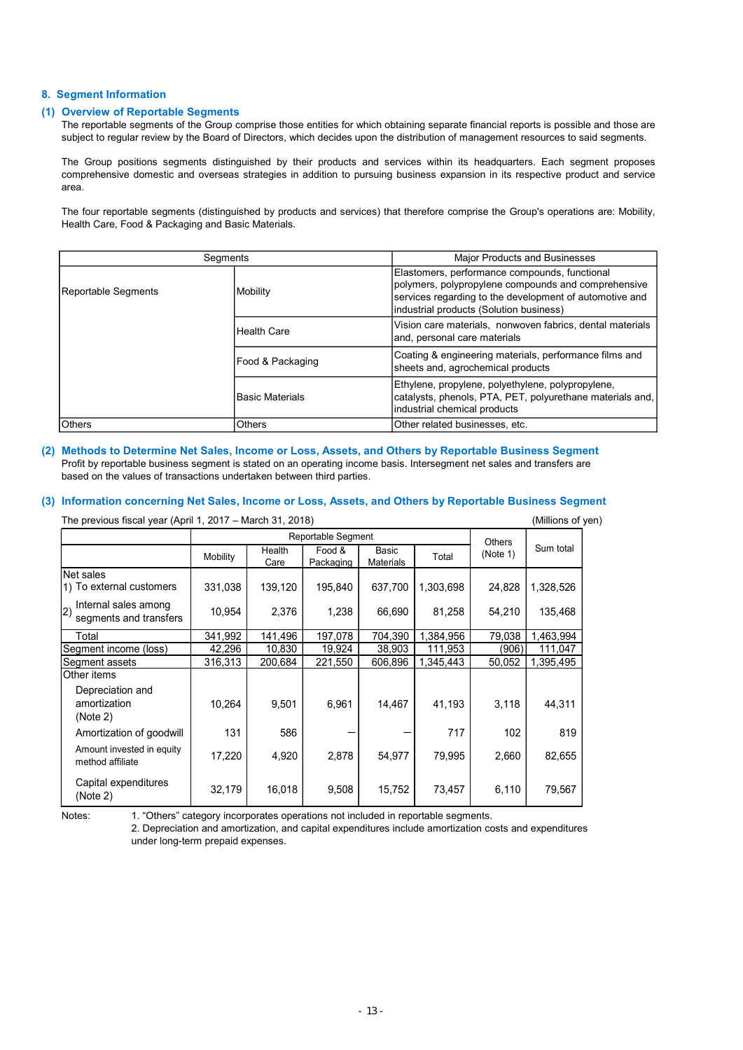### 8. Segment Information

#### (1) Overview of Reportable Segments

The reportable segments of the Group comprise those entities for which obtaining separate financial reports is possible and those are subject to regular review by the Board of Directors, which decides upon the distribution of management resources to said segments.

The Group positions segments distinguished by their products and services within its headquarters. Each segment proposes comprehensive domestic and overseas strategies in addition to pursuing business expansion in its respective product and service area.

The four reportable segments (distinguished by products and services) that therefore comprise the Group's operations are: Mobility, Health Care, Food & Packaging and Basic Materials.

|                                                                                                                                                                                                                                           | Segments |                        |                     |                                                                                                                                                                                                            | <b>Major Products and Businesses</b>                                                                                                           |               |                   |  |
|-------------------------------------------------------------------------------------------------------------------------------------------------------------------------------------------------------------------------------------------|----------|------------------------|---------------------|------------------------------------------------------------------------------------------------------------------------------------------------------------------------------------------------------------|------------------------------------------------------------------------------------------------------------------------------------------------|---------------|-------------------|--|
| Reportable Segments                                                                                                                                                                                                                       |          | Mobility               |                     | Elastomers, performance compounds, functional<br>polymers, polypropylene compounds and comprehensive<br>services regarding to the development of automotive and<br>industrial products (Solution business) |                                                                                                                                                |               |                   |  |
|                                                                                                                                                                                                                                           |          | <b>Health Care</b>     |                     |                                                                                                                                                                                                            | Vision care materials, nonwoven fabrics, dental materials<br>and, personal care materials                                                      |               |                   |  |
|                                                                                                                                                                                                                                           |          | Food & Packaging       |                     |                                                                                                                                                                                                            | Coating & engineering materials, performance films and<br>sheets and, agrochemical products                                                    |               |                   |  |
|                                                                                                                                                                                                                                           |          | <b>Basic Materials</b> |                     |                                                                                                                                                                                                            | Ethylene, propylene, polyethylene, polypropylene,<br>catalysts, phenols, PTA, PET, polyurethane materials and,<br>industrial chemical products |               |                   |  |
| Others                                                                                                                                                                                                                                    |          | Others                 |                     |                                                                                                                                                                                                            | Other related businesses, etc.                                                                                                                 |               |                   |  |
| based on the values of transactions undertaken between third parties.<br>Information concerning Net Sales, Income or Loss, Assets, and Others by Reportable Business Segment<br>The previous fiscal year (April 1, 2017 - March 31, 2018) |          |                        |                     |                                                                                                                                                                                                            |                                                                                                                                                |               | (Millions of yen) |  |
|                                                                                                                                                                                                                                           |          |                        | Reportable Segment  |                                                                                                                                                                                                            |                                                                                                                                                | <b>Others</b> |                   |  |
|                                                                                                                                                                                                                                           | Mobility | Health<br>Care         | Food &<br>Packaging | Basic<br>Materials                                                                                                                                                                                         | Total                                                                                                                                          | (Note 1)      | Sum total         |  |
| Net sales<br>1) To external customers                                                                                                                                                                                                     | 331,038  | 139,120                | 195,840             | 637,700                                                                                                                                                                                                    | 1,303,698                                                                                                                                      | 24,828        | 1,328,526         |  |
| Internal sales among<br>$ 2\rangle$<br>segments and transfers                                                                                                                                                                             | 10,954   | 2,376                  | 1,238               | 66,690                                                                                                                                                                                                     | 81,258                                                                                                                                         | 54,210        | 135,468           |  |
| Total                                                                                                                                                                                                                                     | 341,992  | 141,496                | 197,078             | 704,390                                                                                                                                                                                                    | 1,384,956                                                                                                                                      | 79,038        | 1,463,994         |  |
| Segment income (loss)                                                                                                                                                                                                                     | 42,296   | 10,830                 | 19,924              | 38,903                                                                                                                                                                                                     | 111,953                                                                                                                                        | (906)         | 111,047           |  |
| Segment assets                                                                                                                                                                                                                            | 316,313  | 200,684                | 221,550             | 606,896                                                                                                                                                                                                    | 1,345,443                                                                                                                                      | 50,052        | 1,395,495         |  |
| Other items                                                                                                                                                                                                                               |          |                        |                     |                                                                                                                                                                                                            |                                                                                                                                                |               |                   |  |
| Depreciation and                                                                                                                                                                                                                          |          |                        |                     |                                                                                                                                                                                                            |                                                                                                                                                |               |                   |  |

#### (2) Methods to Determine Net Sales, Income or Loss, Assets, and Others by Reportable Business Segment Profit by reportable business segment is stated on an operating income basis. Intersegment net sales and transfers are based on the values of transactions undertaken between third parties.

# (3) Information concerning Net Sales, Income or Loss, Assets, and Others by Reportable Business Segment

|                                                                                                                                                                                                                                                                                                                                                                                                             |          | <b>Health Care</b><br>and, personal care materials |                                           |                    |                                                                                   | Vision care materials, nonwoven fabrics, dental materials |                   |                                                           |  |
|-------------------------------------------------------------------------------------------------------------------------------------------------------------------------------------------------------------------------------------------------------------------------------------------------------------------------------------------------------------------------------------------------------------|----------|----------------------------------------------------|-------------------------------------------|--------------------|-----------------------------------------------------------------------------------|-----------------------------------------------------------|-------------------|-----------------------------------------------------------|--|
|                                                                                                                                                                                                                                                                                                                                                                                                             |          | Food & Packaging                                   |                                           |                    | sheets and, agrochemical products                                                 |                                                           |                   | Coating & engineering materials, performance films and    |  |
|                                                                                                                                                                                                                                                                                                                                                                                                             |          | <b>Basic Materials</b>                             |                                           |                    | Ethylene, propylene, polyethylene, polypropylene,<br>industrial chemical products |                                                           |                   | catalysts, phenols, PTA, PET, polyurethane materials and, |  |
| Others                                                                                                                                                                                                                                                                                                                                                                                                      |          | Others                                             |                                           |                    |                                                                                   | Other related businesses, etc.                            |                   |                                                           |  |
| Methods to Determine Net Sales, Income or Loss, Assets, and Others by Reportable Business Segment<br>Profit by reportable business segment is stated on an operating income basis. Intersegment net sales and transfers are<br>based on the values of transactions undertaken between third parties.<br>Information concerning Net Sales, Income or Loss, Assets, and Others by Reportable Business Segment |          |                                                    |                                           |                    |                                                                                   |                                                           |                   |                                                           |  |
|                                                                                                                                                                                                                                                                                                                                                                                                             |          |                                                    |                                           |                    |                                                                                   |                                                           |                   |                                                           |  |
| The previous fiscal year (April 1, 2017 – March 31, 2018)                                                                                                                                                                                                                                                                                                                                                   |          |                                                    |                                           |                    |                                                                                   |                                                           | (Millions of yen) |                                                           |  |
|                                                                                                                                                                                                                                                                                                                                                                                                             | Mobility | Health<br>Care                                     | Reportable Segment<br>Food &<br>Packaging | Basic<br>Materials | Total                                                                             | <b>Others</b><br>(Note 1)                                 | Sum total         |                                                           |  |
| Net sales                                                                                                                                                                                                                                                                                                                                                                                                   |          |                                                    |                                           |                    |                                                                                   |                                                           |                   |                                                           |  |
| 1) To external customers                                                                                                                                                                                                                                                                                                                                                                                    | 331,038  | 139,120                                            | 195,840                                   | 637,700            | 1,303,698                                                                         | 24,828                                                    | 1,328,526         |                                                           |  |
| Internal sales among<br>$\mathbf{2}$<br>segments and transfers                                                                                                                                                                                                                                                                                                                                              | 10,954   | 2,376                                              | 1,238                                     | 66,690             | 81,258                                                                            | 54,210                                                    | 135,468           |                                                           |  |
| Total                                                                                                                                                                                                                                                                                                                                                                                                       | 341,992  | 141,496                                            | 197,078                                   | 704,390            | 1,384,956                                                                         | 79,038                                                    | 1,463,994         |                                                           |  |
| Segment income (loss)                                                                                                                                                                                                                                                                                                                                                                                       | 42,296   | 10,830                                             | 19,924                                    | 38,903             | 111,953                                                                           | (906)                                                     | 111.047           |                                                           |  |
| Segment assets                                                                                                                                                                                                                                                                                                                                                                                              | 316,313  | 200,684                                            | 221,550                                   | 606,896            | 1,345,443                                                                         | 50,052                                                    | 1,395,495         |                                                           |  |
| Other items                                                                                                                                                                                                                                                                                                                                                                                                 |          |                                                    |                                           |                    |                                                                                   |                                                           |                   |                                                           |  |
| Depreciation and<br>amortization<br>(Note 2)                                                                                                                                                                                                                                                                                                                                                                | 10,264   | 9,501                                              | 6,961                                     | 14,467             | 41,193                                                                            | 3,118                                                     | 44,311            |                                                           |  |
| Amortization of goodwill                                                                                                                                                                                                                                                                                                                                                                                    | 131      | 586                                                |                                           | -                  | 717                                                                               | 102                                                       | 819               |                                                           |  |
| Amount invested in equity<br>method affiliate                                                                                                                                                                                                                                                                                                                                                               | 17,220   | 4,920                                              | 2,878                                     | 54,977             | 79,995                                                                            | 2,660                                                     | 82,655            |                                                           |  |
|                                                                                                                                                                                                                                                                                                                                                                                                             | 32,179   | 16,018                                             | 9,508                                     | 15,752             | 73,457                                                                            | 6,110                                                     | 79,567            |                                                           |  |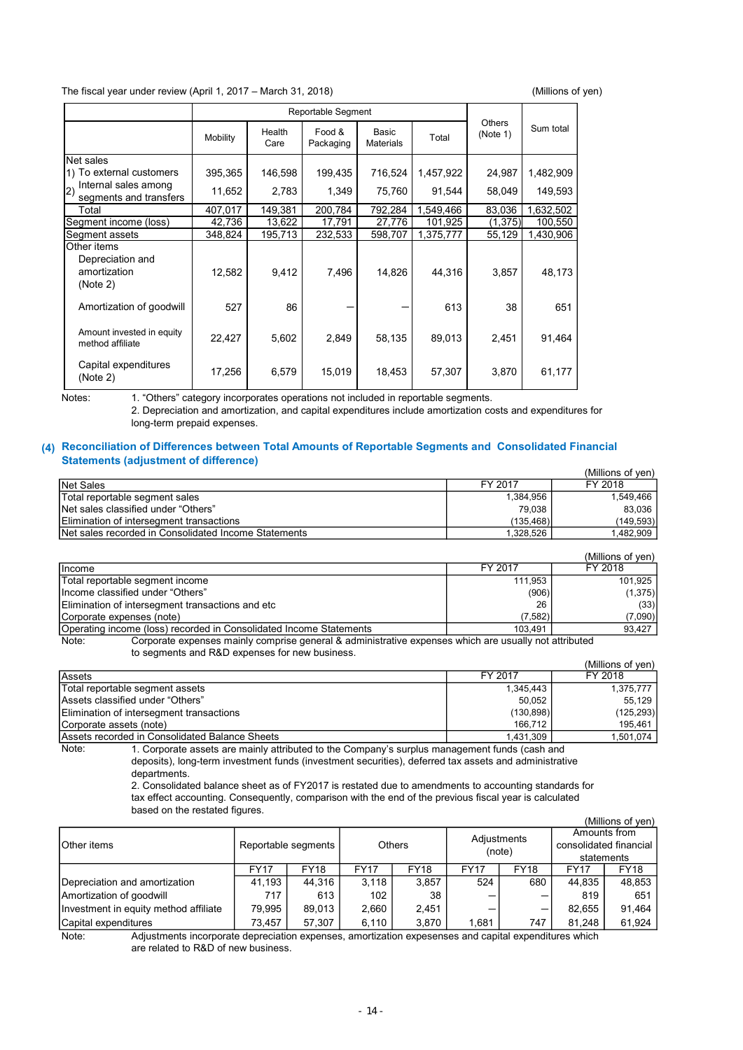#### The fiscal year under review (April 1, 2017 – March 31, 2018) (Millions of yen)

| The fiscal year under review (April 1, 2017 - March 31, 2018)                                                                                                                                                                            |                   |                   |                     |                    |           |                    | (Millions of yen)    |
|------------------------------------------------------------------------------------------------------------------------------------------------------------------------------------------------------------------------------------------|-------------------|-------------------|---------------------|--------------------|-----------|--------------------|----------------------|
|                                                                                                                                                                                                                                          |                   |                   |                     | Reportable Segment |           |                    | Sum total            |
|                                                                                                                                                                                                                                          | Mobility          | Health<br>Care    | Food &<br>Packaging | Basic<br>Materials | Total     | Others<br>(Note 1) |                      |
| Net sales                                                                                                                                                                                                                                |                   |                   |                     |                    |           |                    |                      |
| 1) To external customers<br>Internal sales among                                                                                                                                                                                         | 395,365           | 146,598           | 199,435             | 716,524            | 1,457,922 | 24,987             | 1,482,909            |
| 2)<br>segments and transfers                                                                                                                                                                                                             | 11,652            | 2,783             | 1,349               | 75,760             | 91,544    | 58,049             | 149,593              |
| Total                                                                                                                                                                                                                                    | 407,017           | 149,381           | 200,784             | 792,284            | ,549,466  | 83,036             | 1,632,502            |
| Segment income (loss)                                                                                                                                                                                                                    | 42,736<br>348,824 | 13,622<br>195,713 | 17,791<br>232,533   | 27,776<br>598,707  | 101,925   | (1, 375)<br>55,129 | 100,550<br>1,430,906 |
| Segment assets<br>Other items                                                                                                                                                                                                            |                   |                   |                     |                    | 1,375,777 |                    |                      |
| Depreciation and<br>amortization<br>(Note 2)                                                                                                                                                                                             | 12,582            | 9,412             | 7,496               | 14,826             | 44,316    | 3,857              | 48,173               |
| Amortization of goodwill                                                                                                                                                                                                                 | 527               | 86                |                     |                    | 613       | 38                 | 651                  |
| Amount invested in equity<br>method affiliate                                                                                                                                                                                            | 22,427            | 5,602             | 2,849               | 58,135             | 89,013    | 2,451              | 91,464               |
| Capital expenditures<br>(Note 2)                                                                                                                                                                                                         | 17,256            | 6,579             | 15,019              | 18,453             | 57,307    | 3,870              | 61,177               |
| 1. "Others" category incorporates operations not included in reportable segments.<br>Notes:<br>2. Depreciation and amortization, and capital expenditures include amortization costs and expenditures for<br>long-term prepaid expenses. |                   |                   |                     |                    |           |                    |                      |
| Reconciliation of Differences between Total Amounts of Reportable Segments and Consolidated Financial                                                                                                                                    |                   |                   |                     |                    |           |                    |                      |
|                                                                                                                                                                                                                                          |                   |                   |                     |                    |           |                    |                      |

#### (4) Reconciliation of Differences between Total Amounts of Reportable Segments and Consolidated Financial Statements (adjustment of difference)

|                                                      |           | (Millions of ven) |
|------------------------------------------------------|-----------|-------------------|
| Net Sales                                            | FY 2017   | FY 2018           |
| Total reportable segment sales                       | 1,384,956 | 1.549.466         |
| Net sales classified under "Others"                  | 79,038    | 83.036            |
| Elimination of intersegment transactions             | (135.468) | (149, 593)        |
| Net sales recorded in Consolidated Income Statements | 1.328.526 | 1,482,909         |

|                                                                                                                                                                                                                                               |                                                                                                                                                                                                                                | (Millions of ven) |
|-----------------------------------------------------------------------------------------------------------------------------------------------------------------------------------------------------------------------------------------------|--------------------------------------------------------------------------------------------------------------------------------------------------------------------------------------------------------------------------------|-------------------|
| <b>Income</b>                                                                                                                                                                                                                                 | FY 2017                                                                                                                                                                                                                        | FY 2018           |
| Total reportable segment income                                                                                                                                                                                                               | 111.953                                                                                                                                                                                                                        | 101.925           |
| Income classified under "Others"                                                                                                                                                                                                              | (906)                                                                                                                                                                                                                          | (1, 375)          |
| Elimination of intersegment transactions and etc                                                                                                                                                                                              | 26                                                                                                                                                                                                                             | (33)              |
| Corporate expenses (note)                                                                                                                                                                                                                     | (7,582)                                                                                                                                                                                                                        | (7,090)           |
| <b>Operating income (loss) recorded in Consolidated Income Statements</b>                                                                                                                                                                     | 103.491                                                                                                                                                                                                                        | 93.427            |
| As a constitution of the control of the control of the control of the control of the control of the control of the control of the control of the control of the control of the control of the control of the control of the co<br><b>ALLA</b> | the consistent compared to consistent the constant of the constant of the constant of the constant of the constant of the constant of the constant of the constant of the constant of the constant of the constant of the cons |                   |

Note: Corporate expenses mainly comprise general & administrative expenses which are usually not attributed to segments and R&D expenses for new business.

|                                                                                                        |           | (Millions of ven) |
|--------------------------------------------------------------------------------------------------------|-----------|-------------------|
| Assets                                                                                                 | FY 2017   | FY 2018           |
| Total reportable segment assets                                                                        | 1,345,443 | 1,375,777         |
| Assets classified under "Others"                                                                       | 50.052    | 55.129            |
| Elimination of intersegment transactions                                                               | (130,898) | (125, 293)        |
| Corporate assets (note)                                                                                | 166.712   | 195.461           |
| Assets recorded in Consolidated Balance Sheets                                                         | 1.431.309 | 1,501,074         |
| l. Corporate assets are mainly attributed to the Company's surplus management funds (cash and<br>Note: |           |                   |

1. Corporate assets are mainly attributed to the Company's surplus management funds (cash and deposits), long-term investment funds (investment securities), deferred tax assets and administrative departments.

2. Consolidated balance sheet as of FY2017 is restated due to amendments to accounting standards for tax effect accounting. Consequently, comparison with the end of the previous fiscal year is calculated based on the restated figures.

|                                       |             |                     |             |               |             |             |             | (Millions of ven)      |
|---------------------------------------|-------------|---------------------|-------------|---------------|-------------|-------------|-------------|------------------------|
|                                       |             |                     |             |               |             | Adjustments |             | Amounts from           |
| <b>Other</b> items                    |             | Reportable segments |             | <b>Others</b> |             | (note)      |             | consolidated financial |
|                                       |             |                     |             |               |             |             | statements  |                        |
|                                       | <b>FY17</b> | <b>FY18</b>         | <b>FY17</b> | <b>FY18</b>   | <b>FY17</b> | <b>FY18</b> | <b>FY17</b> | <b>FY18</b>            |
| Depreciation and amortization         | 41.193      | 44.316              | 3,118       | 3,857         | 524         | 680         | 44,835      | 48,853                 |
| Amortization of goodwill              | 717         | 613                 | 102         | 38            |             |             | 819         | 651                    |
| Investment in equity method affiliate | 79.995      | 89.013              | 2.660       | 2,451         |             |             | 82.655      | 91.464                 |
| Capital expenditures                  | 73.457      | 57.307              | 6,110       | 3,870         | 1.681       | 747         | 81.248      | 61,924                 |

Note<sup>:</sup> Adjustments incorporate depreciation expenses, amortization expesenses and capital expenditures which are related to R&D of new business.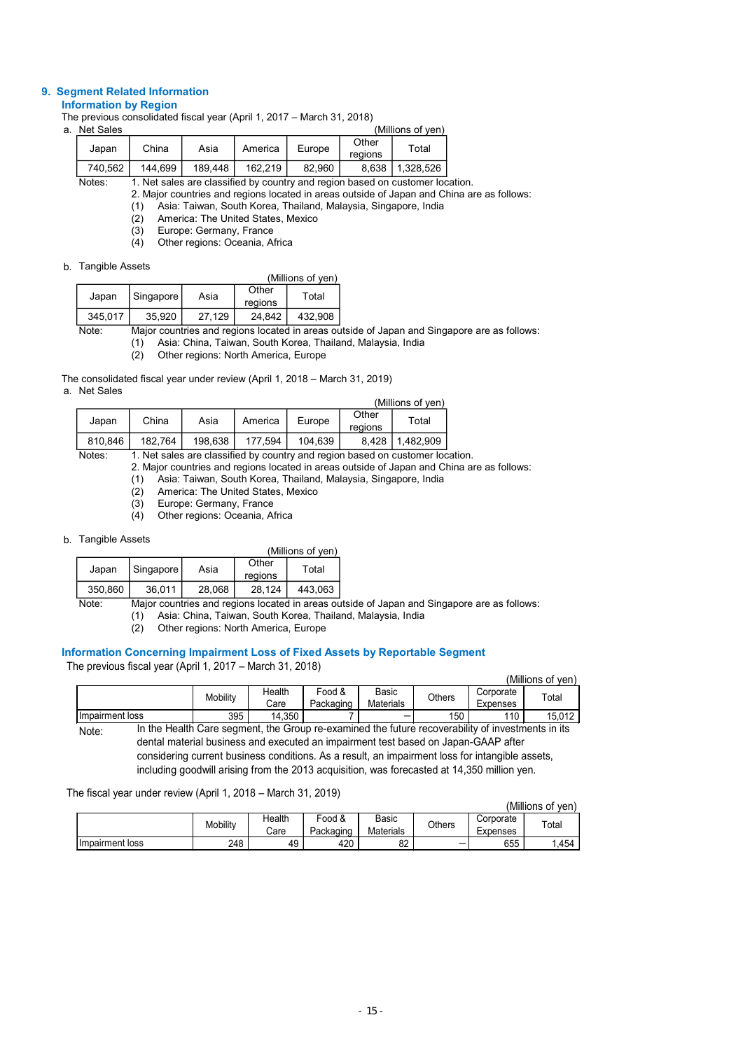# 9. Segment Related Information

# Information by Region

The previous consolidated fiscal year (April 1, 2017 – March 31, 2018)

| a. | Net Sales |         |         |         |        |                  | (Millions of yen) |  |
|----|-----------|---------|---------|---------|--------|------------------|-------------------|--|
|    | Japan     | China   | Asia    | America | Europe | Other<br>regions | Total             |  |
|    | 740.562   | 144.699 | 189.448 | 162.219 | 82.960 | 8.638            | 1.328.526         |  |

Notes: 1. Net sales are classified by country and region based on customer location.

2. Major countries and regions located in areas outside of Japan and China are as follows:

(1) Asia: Taiwan, South Korea, Thailand, Malaysia, Singapore, India

(2) America: The United States, Mexico

 $(3)$  Europe: Germany, France<br>(4) Other regions: Oceania, A

Other regions: Oceania, Africa

#### b. Tangible Assets

| . a. .q.b.o , .ooo.o |             |        |                  | (Millions of ven) |
|----------------------|-------------|--------|------------------|-------------------|
| Japan                | Singapore I | Asia   | Other<br>regions | Total             |
| 345.017              | 35,920      | 27.129 | 24.842           | 432.908           |

Note: Major countries and regions located in areas outside of Japan and Singapore are as follows: (1) Asia: China, Taiwan, South Korea, Thailand, Malaysia, India

Other regions: North America, Europe

The consolidated fiscal year under review (April 1, 2018 – March 31, 2019) a. Net Sales

|             |         |         |         |         |                  | (Millions of ven)                                                                                       |  |
|-------------|---------|---------|---------|---------|------------------|---------------------------------------------------------------------------------------------------------|--|
| Japan       | China   | Asia    | America | Europe  | Other<br>regions | Total                                                                                                   |  |
| 810.846     | 182.764 | 198.638 | 177.594 | 104.639 | 8.428            | 1.482.909                                                                                               |  |
| $N = 4 - 7$ |         |         |         |         |                  | وجاوا وجوده والمرزور ويرجع والمحاوية والمستحدث والمساوية والمستركات وجاري ومرور وجواحب المرابات المرابط |  |

- (2) America: The United States, Mexico
- (3) Europe: Germany, France<br>(4) Other regions: Oceania, A

#### b. Tangible Assets

|         |           |        |                  | (Millions of ven) |
|---------|-----------|--------|------------------|-------------------|
| Japan   | Singapore | Asia   | Other<br>regions | Total             |
| 350,860 | 36,011    | 28,068 | 28.124           | 443.063           |

# Information Concerning Impairment Loss of Fixed Assets by Reportable Segment

|                                                                                                                                                                                                |                                                                                                                                                                                                                  |                         |                                                                                                       |                     |                    | (Millions of yen)                                                             |                                                                                                   |                   |  |
|------------------------------------------------------------------------------------------------------------------------------------------------------------------------------------------------|------------------------------------------------------------------------------------------------------------------------------------------------------------------------------------------------------------------|-------------------------|-------------------------------------------------------------------------------------------------------|---------------------|--------------------|-------------------------------------------------------------------------------|---------------------------------------------------------------------------------------------------|-------------------|--|
| Japan                                                                                                                                                                                          | China                                                                                                                                                                                                            | Asia                    | America                                                                                               | Europe              | Other<br>regions   | Total                                                                         |                                                                                                   |                   |  |
| 810,846                                                                                                                                                                                        | 182,764                                                                                                                                                                                                          | 198,638                 | 177,594                                                                                               | 104,639             | 8,428              | 1,482,909                                                                     |                                                                                                   |                   |  |
| Notes:                                                                                                                                                                                         | (1)<br>(2)                                                                                                                                                                                                       |                         | Asia: Taiwan, South Korea, Thailand, Malaysia, Singapore, India<br>America: The United States, Mexico |                     |                    | 1. Net sales are classified by country and region based on customer location. | 2. Major countries and regions located in areas outside of Japan and China are as follows:        |                   |  |
|                                                                                                                                                                                                | (3)<br>(4)                                                                                                                                                                                                       | Europe: Germany, France | Other regions: Oceania, Africa                                                                        |                     |                    |                                                                               |                                                                                                   |                   |  |
| <b>Tangible Assets</b>                                                                                                                                                                         |                                                                                                                                                                                                                  |                         |                                                                                                       | (Millions of yen)   |                    |                                                                               |                                                                                                   |                   |  |
| Japan                                                                                                                                                                                          | Singapore                                                                                                                                                                                                        | Asia                    | Other<br>regions                                                                                      | Total               |                    |                                                                               |                                                                                                   |                   |  |
| 350,860                                                                                                                                                                                        | 36,011                                                                                                                                                                                                           | 28,068                  | 28,124                                                                                                | 443,063             |                    |                                                                               |                                                                                                   |                   |  |
| Note:                                                                                                                                                                                          | Major countries and regions located in areas outside of Japan and Singapore are as follows:<br>Asia: China, Taiwan, South Korea, Thailand, Malaysia, India<br>(1)<br>Other regions: North America, Europe<br>(2) |                         |                                                                                                       |                     |                    |                                                                               |                                                                                                   |                   |  |
|                                                                                                                                                                                                | ormation Concerning Impairment Loss of Fixed Assets by Reportable Segment                                                                                                                                        |                         |                                                                                                       |                     |                    |                                                                               |                                                                                                   |                   |  |
|                                                                                                                                                                                                | e previous fiscal year (April 1, 2017 – March 31, 2018)                                                                                                                                                          |                         |                                                                                                       |                     |                    |                                                                               |                                                                                                   | (Millions of yen) |  |
|                                                                                                                                                                                                |                                                                                                                                                                                                                  |                         | Health                                                                                                | Food &              | Basic              |                                                                               | Corporate                                                                                         |                   |  |
|                                                                                                                                                                                                |                                                                                                                                                                                                                  | Mobility                | Care                                                                                                  | Packaging           | Materials          | Others                                                                        | Expenses                                                                                          | Total             |  |
| Impairment loss                                                                                                                                                                                |                                                                                                                                                                                                                  |                         | 14,350<br>395                                                                                         |                     |                    |                                                                               | 150<br>110                                                                                        | 15,012            |  |
| Note:                                                                                                                                                                                          |                                                                                                                                                                                                                  |                         |                                                                                                       |                     |                    |                                                                               | In the Health Care segment, the Group re-examined the future recoverability of investments in its |                   |  |
|                                                                                                                                                                                                |                                                                                                                                                                                                                  |                         |                                                                                                       |                     |                    |                                                                               | dental material business and executed an impairment test based on Japan-GAAP after                |                   |  |
| considering current business conditions. As a result, an impairment loss for intangible assets,<br>including goodwill arising from the 2013 acquisition, was forecasted at 14,350 million yen. |                                                                                                                                                                                                                  |                         |                                                                                                       |                     |                    |                                                                               |                                                                                                   |                   |  |
|                                                                                                                                                                                                |                                                                                                                                                                                                                  |                         |                                                                                                       |                     |                    |                                                                               |                                                                                                   |                   |  |
|                                                                                                                                                                                                | he fiscal year under review (April 1, 2018 – March 31, 2019)                                                                                                                                                     |                         |                                                                                                       |                     |                    |                                                                               |                                                                                                   |                   |  |
|                                                                                                                                                                                                |                                                                                                                                                                                                                  |                         |                                                                                                       |                     |                    |                                                                               |                                                                                                   | (Millions of yen) |  |
|                                                                                                                                                                                                |                                                                                                                                                                                                                  | Mobility                | Health<br>Care                                                                                        | Food &<br>Packaging | Basic<br>Materials | <b>Others</b>                                                                 | Corporate<br>Expenses                                                                             | Total             |  |
| Impairment loss                                                                                                                                                                                |                                                                                                                                                                                                                  |                         | 248                                                                                                   | 49                  | 420                | 82                                                                            | 655                                                                                               | 1,454             |  |

#### The fiscal year under review (April 1, 2018 – March 31, 2019)

|                  |          | 'Millions of<br>ven) |           |              |               |           |             |
|------------------|----------|----------------------|-----------|--------------|---------------|-----------|-------------|
|                  | Mobility | Health               | Food &    | <b>Basic</b> | <b>Others</b> | Corporate | $\tau$ otal |
|                  |          | Care                 | Packaging | Materials    |               | Expenses  |             |
| Ilmpairment loss | 248      | 49                   | 420       | nn.<br>oz    |               | 655       | .454        |